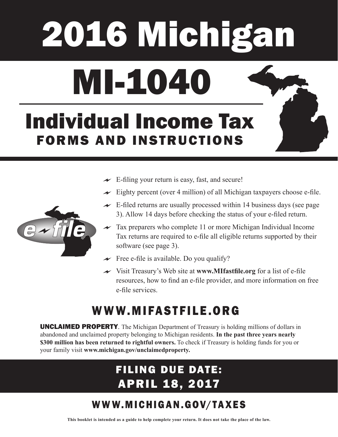# 2016 Michigan MI-1040

# Individual Income Tax FORMS AND INSTRUCTIONS

- $\sim$  E-filing your return is easy, fast, and secure!
- $\sim$  Eighty percent (over 4 million) of all Michigan taxpayers choose e-file.
- $\sim$  E-filed returns are usually processed within 14 business days (see page) 3). Allow 14 days before checking the status of your e-filed return.
- $\sim$  Tax preparers who complete 11 or more Michigan Individual Income Tax returns are required to e-file all eligible returns supported by their software (see page 3).
- $\rightarrow$  Free e-file is available. Do you qualify?
- Visit Treasury's Web site at **www.MIfastfile.org** for a list of e-file resources, how to find an e-file provider, and more information on free e-file services.

# WWW.MIFASTFILE.ORG

UNCLAIMED PROPERTY. The Michigan Department of Treasury is holding millions of dollars in abandoned and unclaimed property belonging to Michigan residents. **In the past three years nearly \$300 million has been returned to rightful owners.** To check if Treasury is holding funds for you or your family visit **www.michigan.gov/unclaimedproperty.** 

# FILING DUE DATE: APRIL 18, 2017

# W W W. M I C H I G A N . G OV/ TA X E S

**This booklet is intended as a guide to help complete your return. It does not take the place of the law.** 

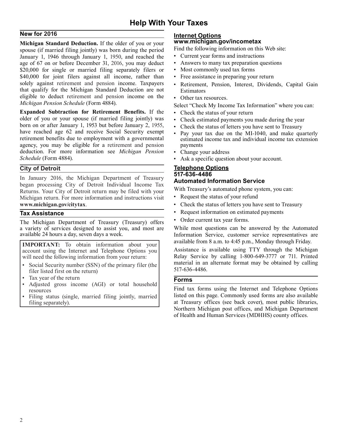### **Help With Your Taxes**

eligible to deduct retirement and pension income on the • Other tax resources. **New for 2016**<br>Michigan Standard Deduction If the older of you or your **WWW.michigan.gov/incometax Michigan Standard Deduction.** If the older of you or your **www.michigan.gov/incometax with the standard of the standard of the standard standard was born during the period** Find the following information on this Web sit spouse (if married filing jointly) was born during the period Find the following information on this January 1, 1950, and reached the Current year forms and instructions January 1, 1946 through January 1, 1950, and reached the • Current year forms and instructions age of 67 on or before December 31, 2016, you may deduct • Answers to many tax preparation questions age of 67 on or before December 31, 2016, you may deduct \$20,000 for single or married filing separately filers or • Most commonly used tax forms \$40,000 for joint filers against all income, rather than • Free assistance in preparing your return solely against retirement and pension income. Taxpayers . Retirement, Pension, Interest, Dividends, Capital Gain that qualify for the Michigan Standard Deduction are not Estimators eligible to deduct retirement and pension income on the **Communisty Check My Income Tax Information**" where you can:<br>Select "Check My Income Tax Information" where you can:

**Expanded Subtraction for Retirement Benefits.** If the • Check the status of your return older of you or your spouse (if married filing jointly) was • Check estimated payments you made during the year born on or after January 1, 1953 but before January 2, 1955, • Check the status of letters you have sent to Treasury<br>have reached age 62 and receive Social Security exempt have reached age 62 and receive Social Security exempt • Pay your tax due on the MI-1040, and make quarterly retirement benefits due to employment with a governmental agency, you may be eligible for a retirement and pensio agency, you may be eligible for a retirement and pension deduction. For more information see *Michigan Pension* • Change your address *Schedule* (Form 4884).

In January 2016, the Michigan Department of Treasury<br> **1817-636-4486 Automated Information Service**<br> **218-4486 Automated Information Service**<br> **218-4486 Automated Information Service**<br> **218-4486 Mith Treasury's automated** Returns. Your City of Detroit return may be filed with your with Treasury's automated phone sy<br>Michigan return, For more information and instructions visit • Request the status of your refund Michigan return. For more information and instructions visit **www.michigan.gov/citytax.** • Check the status of letters you have sent to Treasury

The Michigan Department of Treasury (Treasury) offers • Order current tax year forms.<br>a variety of services designed to assist you, and most are While most questions can be

**IMPORTANT:** To obtain information about your available from 8 a.m. to 4:45 p.m., Monday through Friday.<br>account using the Internet and Telephone Options you Assistance is available using TTY through the Michigan

- Social Security number (SSN) of the primary filer (the  $\begin{bmatrix} \text{material in an  
filter listed first on the return} \end{bmatrix}$ filer listed first on the return)
- Tax year of the return **Forms**
- Adjusted gross income (AGI) or total household resources
- Filing status (single, married filing jointly, married

- 
- 
- 
- 
- 
- 

- 
- 
- 
- 
- 
- Ask a specific question about your account.

# **City of Detroit Telephone Options**

- 
- 
- **Tax Assistance •** Request information on estimated payments
	-

While most questions can be answered by the Automated available 24 hours a day, seven days a week. Information Service, customer service representatives are

account using the Internet and Telephone Options you <br>will need the following information from your return:<br>Relay Service by calling 1-800-649-3777 or 711. Printed will need the following information from your return: Relay Service by calling 1-800-649-3777 or 711. Printed<br>Relay Service by calling 1-800-649-3777 or 711. Printed material in an alternate format may be obtained by calli

Find tax forms using the Internet and Telephone Options listed on this page. Commonly used forms are also available filing separately). The contract of the separately at Treasury offices (see back cover), most public libraries, Northern Michigan post offices, and Michigan Department of Health and Human Services (MDHHS) county offices.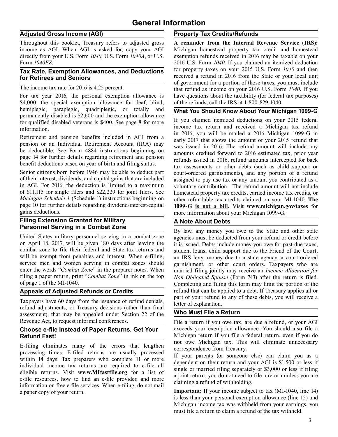### **General Information**

\$4,000, the special exemption allowance for deaf, blind, of the refunds, call the IRS at 1-800-829-1040.<br>hemiplegic, paraplegic, quadriplegic, or totally and **What You Should Know About Your Mich** hemiplegic, paraplegic, quadriplegic, or totally and<br>permanently disabled is \$2,600 and the exemption allowance<br>for qualified disabled veterans is \$400. See page 8 for more<br>for qualified disabled veterans is \$400. See pag

Senior citizens born before 1946 may be able to deduct part court-ordered garnishments), and any portion of a refund of their interest, dividends, and capital gains that are included assigned to pay use tax or any amount y of their interest, dividends, and capital gains that are included assigned to pay use tax or any amount you contributed as a<br>in AGI. For 2016, the deduction is limited to a maximum voluntary contribution. The refund amount in AGI. For 2016, the deduction is limited to a maximum voluntary contribution. The refund amount will not include of \$11,115 for single filers and \$22,229 for joint filers. See homestead property tax credits earned income of \$11,115 for single filers and \$22,229 for joint filers. See homestead property tax credits, earned income tax credits, or *Michigan Schedule 1* (Schedule 1) instructions beginning on other refundable tax credits claimed *Michigan Schedule 1* (Schedule 1) instructions beginning on other refundable tax credits claimed on your MI-1040. **The** page 10 for further details regarding dividend/interest/capital **1099-G** is not a bill Visit www mich page 10 for further details regarding dividend/interest/capital **1099-G is not a bill.** Visit **www.michigan.gov/taxes** for

# **Filing Extension Granted for Military**<br> **A Note About Debts**<br> **Personnel Serving in a Combat Zone**

United States military personnel serving in a combat zone agencies must be deducted from your refund or credit before on April 18, 2017, will be given 180 days after leaving the it is issued Debts include money you owe for on April 18, 2017, will be given 180 days after leaving the it is issued. Debts include money you owe for past-due taxes, combat zone to file their federal and State tax returns and student loans, child support due to the combat zone to file their federal and State tax returns and student loans, child support due to the Friend of the Court, will be exempt from penalties and interest. When e-filing, an IRS levy money due to a state agency a will be exempt from penalties and interest. When e-filing, an IRS levy, money due to a state agency, a court-ordered service men and women serving in combat zones should garnishment or other court orders. Taxnavers who are service men and women serving in combat zones should garnishment, or other court orders. Taxpayers who are enter the words "Combat Zone" in the preparer notes. When married filing jointly may receive an Income Allocation f enter the words "*Combat Zone*" in the preparer notes. When married filing jointly may receive an *Income Allocation for* filing a paper return, print "*Combat Zone*" in ink on the top Non-Obligated Spouse (Form 743) after filing a paper return, print "*Combat Zone*" in ink on the top *Non-Obligated Spouse* (Form 743) after the return is filed.

Taxpayers have 60 days from the issuance of refund denials,<br>refund adjustments, or Treasury decisions (other than final letter of explanation.<br>**Who Must File a Return** assessment), that may be appealed under Section 22 of the

# **Choose e-file Instead of Paper Returns. Get Your**

E-filing eliminates many of the errors that lengthen<br>processing times. E-filed returns are usually processed<br>within 14 days. Tax preparers who complete 11 or more<br>individual income tax returns are required to e-file all<br>el e-file returns. Visit www.MIfastfile.org for a list of<br>e-file resources, how to find an e-file provider, and more<br>information on free e-file services. When e-filing, do not mail<br>ining a refund of withholding. a paper copy of your return.<br>**Important:** If your income subject to tax (MI-1040, line 14)

### **Adjusted Gross Income (AGI) Property Tax Credits/Refunds**

Throughout this booklet, Treasury refers to adjusted gross **A reminder from the Internal Revenue Service (IRS):**  income as AGI. When AGI is asked for, copy your AGI Michigan homestead property tax credit and homestead directly from your U.S. Form  $1040$ , U.S. Form  $1040A$ , or U.S. exemption refunds received in 2016 may be taxable on exemption refunds received in 2016 may be taxable on your Form *1040EZ*. 2016 U.S. Form *1040*. If you claimed an itemized deduction **Tax Rate, Exemption Allowances, and Deductions** for property taxes on your 2015 U.S. Form 1040 and then **for Retirees and Seniors for Retirees and Seniors** received a refund in 2016 from the State or your local unit of government for a portion of those taxes, you must include The income tax rate for 2016 is 4.25 percent.<br>
that refund as income on your 2016 U.S. Form *1040*. If you<br>
For tax vear 2016, the personal exemption allowance is have questions about the taxability (for federal tax purpos have questions about the taxability (for federal tax purposes)

income tax return and received a Michigan tax refund<br>information. in 2016, you will be mailed a 2016 Michigan 1099-G in Retirement and pension benefits included in AGI from a<br>
pension or an Individual Retirement Account (IRA) may<br>
be deductible. See Form 4884 instructions beginning on<br>
page 14 for further details regarding retirement and pe more information about your Michigan 1099-G.

**Personnel Serving in a Combat Zone Personnel Serving in a combat zone By law, any money you owe to the State and other state** United States military personnel serving in a combat zone *agencies must be deducted from* Completing and filing this form may limit the portion of the **Appeals of Adjusted Refunds or Credits** refund that can be applied to a debt. If Treasury applies all or part of your refund to any of these debts, you will receive a

Revenue Act, to request informal conferences.<br>
File a return if you owe tax, are due a refund, or your AGI<br> **Choose e-file Instead of Paper Returns. Get Your**<br>
exceeds your exemption allowance. You should also file a **Refund Fast!** Michigan return if you file a federal return, even if you do<br>not owe Michigan tax. This will eliminate unnecessary

is less than your personal exemption allowance (line 15) and Michigan income tax was withheld from your earnings, you must file a return to claim a refund of the tax withheld.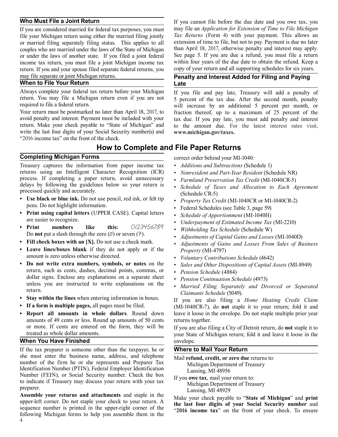file your Michigan return using either the married filing jointly *Tax Returns* (Form 4) with your payment. This allows an or married filing separately filing status This applies to all extension of time to file, but not t or married filing separately filing status. This applies to all extension of time to file, but not to pay. Payment is due no later couples who are married under the laws of the State of Michigan than April 18, 2017, otherw couples who are married under the laws of the State of Michigan than April 18, 2017, otherwise penalty and interest may apply.<br>The under the laws of another state If you filed a joint federal See page 5. If you are due a r or under the laws of another state. If you filed a joint federal See page 5. If you are due a refund, you must file a return<br>income tax return you must file a joint Michigan income tax within four years of the due date to income tax return, you must file a joint Michigan income tax within four years of the due date to obtain the refund. Keep a return of your return and all supporting schedules for six years. return. If you and your spouse filed separate federal returns, you may file separate or joint Michigan returns. **Penalty and Interest Added for Filing and Paying** 

### When to File Your Return **Example 20 Your Return**

Always complete your federal tax return before your Michigan If you file and pay late, Treasury will add a penalty of return. You may file a Michigan return even if you are not 5 percent of the tax due. After the second mo return. You may file a Michigan return even if you are not 5 percent of the tax due. After the second month, penalty required to file a federal return.

avoid penalty and interest. Payment must be included with your return. Make your check payable to "State of Michigan" and write the last four digits of your Social Security number(s) and www.michigan.gov/taxes. "2016 income tax" on the front of the check.

### **How to Complete and File Paper Returns**

### **Completing Michigan Forms correct** order behind your MI-1040:

Treasury captures the information from paper income tax *• Additions and Subtractions* (Schedule 1) returns using an Intelligent Character Recognition (ICR) • *Nonresident and Part-Year Resident* (Schedule NR) process. If completing a paper return, avoid unnecessary • *Farmland Preservation Tax Credit* (ML1040CR-5) process. If completing a paper return, avoid unnecessary <br>delays by following the guidelines below so your return is <br>processed quickly and accurately.<br>Chedule of Taxes and Allocation to Each Agreement<br>Schedule CR-5)<br>Chedu

- pens. Do not highlight information.
- **•** Federal Schedules (see Table 3, page 59) **• Print using capital letters** (UPPER CASE). Capital letters **•** *Schedule of Apportionment* (MI-1040H) are easier to recognize.
- are easier to recognize.<br> **Print numbers** like this:  $O/23456789$  *Underpayment of Estimated Income Tax* (MI-2210)<br>
Do not put a slash through the zero ( $\emptyset$ ) or seven (7).<br>
Adjustments of Capital Gains and Losses (M
- Fill check boxes with an  $[X]$ . Do not use a check mark.
- 
- amount is zero unless otherwise directed.<br>
 **Do not write extra numbers, symbols, or notes** on the **•** *Sales and Other Dispositions of Canital A* **Do not write extra numbers, symbols, or notes** on the *• Sales and Other Dispositions of Capital Assets* (MI-8949) return, such as cents, dashes, decimal points, commas, or *• Pension Schedule* (4884) return, such as cents, dashes, decimal points, commas, or<br>
dollar signs. Enclose any explanations on a separate sheet<br>
unless you are instructed to write explanations on the<br>
Married Filing Separately and Divorced or Separ
- 
- 
- amounts of 49 cents or less. Round up amounts of 50 cents returns together. or more. If cents are entered on the form, they will be If you are also filing a City of Detroit return, do **not** staple it to

### **When You Have Finished Example 20 and Servelope. envelope.**

If the tax preparer is someone other than the taxpayer, he or **Where to Mail Your Return** she must enter the business name, address, and telephone Mail refund credit or zero due she must enter the business name, address, and telephone<br>number of the firm he or she represents and Preparer Tax<br>Identification Number (PTIN), Federal Employer Identification<br>Number (FEIN), or Social Security number. Chec to indicate if Treasury may discuss your return with your tax<br>preparer. Michigan Department of Treasury<br>**Assemble your returns and attachments** and staple in the<br>Make your abol argulate "State of

Assemble your returns and attachments and stape in the Make your check payable to "State of Michigan" and print<br>upper-left corner. Do not staple your check to your return. A<br>sequence number is printed in the upper-right c sequence number is printed in the upper-right corner of the "**2016 income tax**" on the front of your check. To ensure following Michigan forms to help you assemble them in the

**Who Must File a Joint Return If** you cannot file before the due date and you owe tax, you If you are considered married for federal tax purposes, you must may file an *Application for Extension of Time to File Michigan* file your Michigan return using either the married filing jointly *Tax Returns* (Form 4) wit

required to file a federal return.<br>
Your return must be postmarked no later than April 18, 2017, to fraction thereof, up to a maximum of 25 percent of the fraction thereof, up to a maximum of 25 percent of the tax due. If you pay late, you must add penalty and interest to the amount due. For the latest interest rates visit,

- 
- 
- 
- 
- 
- 
- 
- 
- 
- 
- FIII check boxes with an [X]. Do not use a check mark.<br>
Leave lines/boxes blank if they do not apply or if the *Hoperty* (MI-4797)<br>
amount is zero unless otherwise directed<br>  $\frac{1}{2}$ <br>  $\frac{1}{2}$ <br>  $\frac{1}{2}$ <br>  $\frac{1}{2}$ <br>  $\frac$ 
	-
	-
	-
	-
	-

return.<br>
• Stay within the lines when entering information in boxes.<br>
• If a form is multiple pages, all pages must be filed.<br>
• If a form is multiple pages, all pages must be filed.<br>
• If a form is multiple pages, all pag **Report all amounts in whole dollars**. Round down leave it loose in the envelope. Do not staple multiple prior year

your State of Michigan return; fold it and leave it loose in the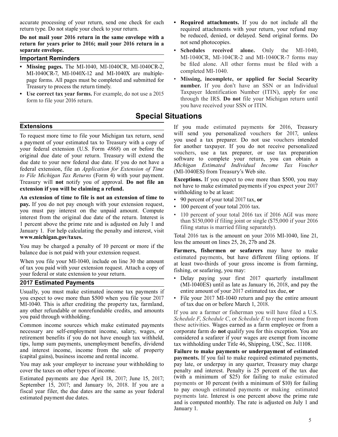accurate processing of your return, send one check for each **• Required attachments.** If you do not include all the return type. Do not staple your check to your return. required attachments with your return, your refund may

**Do not mail your 2016 return in the same envelope with a** be reduced, denied, or delayed. Send original forms. Do return for years prior to 2016; mail your 2016 return in a not send photocopies. **return for years prior to 2016; mail your 2016 return in a separate envelope.** 

- **Important Reminders** MI-1040CR, MI-1040CR-2 and MI-1040CR-7 forms may<br>**ALLIAN CREATE MI-1040CP MI-1040CP 2** be filed alone. All other forms must be filed with a **be filed alone. All other forms must be filed alone.** All **MI-1040CR**, MI-1040CR-2, and MI-1040, MI-1040CR-2, and MI-1040, MI-1040, MI-1040, MI-1040, MI-1040, MI-1040, MI-1040, MI-1040, MI-1040, MI-1040, MI-1040, MI-1040,  $M1-1040CR-7$ ,  $M1-1040X-12$  and  $M1-1040X$  are multiple-<br>nage forms All pages must be completed and submitted for  $\bullet$  Missing, incomplete, or applied for Social Security page forms. All pages must be completed and submitted for Treasury to process the return timely.<br> **number.** If you don't have an SSN or an Individual<br> **Ise correct tax vear forms** For example do not use a 2015 Taxpayer Identification Number (ITIN), apply for one
- Use correct tax year forms. For example, do not use a 2015 form to file your 2016 return.<br>
form to file your 2016 return.

### **Special Situations**

*to File Michigan Tax Returns* (Form 4) with your payment.<br> **Exceptions.** If you expect to owe more than \$500, you may Treasury will **not** notify you of approval. **Do not file an Exceptions.** If you expect to owe more th

**An extension if you will be claiming a refund.** Mothing to be at least:<br>
An extension of time to file is not an extension of time to  $\cdot$  90 percent of your total 2017 tax, or **pay.** If you do not pay enough with your extension request,  $\cdot$  100 percent of your total 2016 tax.<br>you must pay interest on the unpaid amount. Compute Figure 1. For help calculating the penalty and interest, visit<br>and the set of the return. Interest is<br>any 1. For help calculating the penalty and interest, visit<br>and status is married filing separately). **www.michigan.gov/taxes. Total 2016 tax is the amount on your 2016 MI-1040**, line 21,

You may be charged a penalty of 10 percent or more if the balance due is not paid with your extension request.

When you file your MI-1040, include on line 30 the amount at least two-thirds of your gross income is from farming, of tax you paid with your extension request. Attach a copy of fishing, or seafaring, you may: your federal or state extension to your return.<br>
Belay paying your first 2017 quarterly installment

Usually, you must make estimated income tax payments if you expect to owe more than \$500 when you file your 2017 MI-1040. This is after crediting the property tax, farmland, any other refundable or nonrefundable credits, and amounts you paid through withholding.

Common income sources which make estimated payments necessary are self-employment income, salary, wages, or retirement benefits if you do not have enough tax withheld, tips, lump sum payments, unemployment benefits, dividend and interest income, income from the sale of property (capital gains), business income and rental income.

You may ask your employer to increase your withholding to cover the taxes on other types of income.

Estimated payments are due April 18, 2017; June 15, 2017; September 15, 2017; and January 16, 2018. If you are a fiscal year filer, the due dates are the same as your federal estimated payment due dates.

**Extensions Extensions** If you made estimated payments for 2016, Treasury<br>To request more time to file your Michigan tax return send will send you personalized vouchers for 2017, unless To request more time to file your Michigan tax return, send<br>a revenue of your estimated to to Transury with a converted to you used a tax preparer. Do not use vouchers intended a payment of your estimated tax to Treasury with a copy of<br>you used a tax preparer. Do not use vouchers intended<br>your federal extension (U.S. Form 4868) on or before the<br>original due date of your return. Treasury will exte

• **Schedules received alone.** Only the MI-1040,

extension if you will be claiming a refund.<br>
withholding to be at least:<br>
withholding to be at least:

you have received your SSN or ITIN.

- 
- 

less the amount on lines 25, 26, 27b and 28.

**Farmers, fishermen or seafarers** may have to make estimated payments, but have different filing options. If

- **2017 Estimated Payments 2017 CESTIMATES ARE AND THE SETTIMATES ON THE 2017 QUARTER INSTALLERTY INSTALLERTY INCORPORTED AND INSTRUMENT ON THE 2017 QUARTER INCORPORTED AND THE 2017 ON THE 2017 ON THE 2018, and pay the**  entire amount of your 2017 estimated tax due, **or** 
	- File your 2017 MI-1040 return and pay the entire amount of tax due on or before March 1, 2018.

 If you are a farmer or fisherman you will have filed a U.S. *Schedule F*, *Schedule C*, or *Schedule E* to report income from these activities. Wages earned as a farm employee or from a corporate farm do **not** qualify you for this exception. You are considered a seafarer if your wages are exempt from income tax withholding under Title 46, Shipping, USC, Sec. 11108.

 **Failure to make payments or underpayment of estimated payments.** If you fail to make required estimated payments, pay late, or underpay in any quarter, Treasury may charge penalty and interest. Penalty is 25 percent of the tax due (with a minimum of \$25) for failing to make estimated payments or 10 percent (with a minimum of \$10) for failing to pay enough estimated payments or making estimated payments late. Interest is one percent above the prime rate and is computed monthly. The rate is adjusted on July 1 and January 1.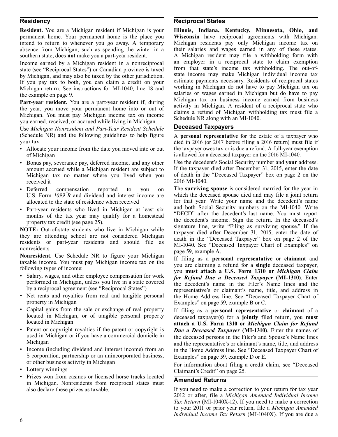**Resident.** You are a Michigan resident if Michigan is your<br> **Illinois, Indiana, Kentucky, Minnesota, Ohio, and**<br> **permanent home.** Your permanent home is the place you<br> **Wisconsin** have reciprocal agreements with Michigan permanent home. Your permanent home is the place you **Wisconsin** have reciprocal agreements with Michigan. intend to return to whenever you go away. A temporary Michigan residents pay only Michigan income tax on absence from Michigan such as spending the winter in a their salaries and wages earned in any of these states. absence from Michigan, such as spending the winter in a

Income earned by a Michigan resident in a nonreciprocal an employer in a reciprocal state to claim exemption state (see "Reciprocal States") or Canadian province is taxed from that state's income tax withholding. The out-o state (see "Reciprocal States") or Canadian province is taxed from that state's income tax withholding. The out-of-<br>by Michigan and may also be taxed by the other invisition state income may make Michigan individual income by Michigan, and may also be taxed by the other jurisdiction. State income may make Michigan individual income tax<br>If you nay tax to both you can claim a credit on your estimate payments necessary. Residents of reciprocal If you pay tax to both, you can claim a credit on your estimate payments necessary. Residents of reciprocal states<br>Michigan return See instructions for ML1040 line 18 and working in Michigan do not have to pay Michigan tax Michigan return. See instructions for MI-1040, line 18 and

you earned, received, or accrued while living in Michigan.

Use *Michigan Nonresident and Part-Year Resident Schedule* **Deceased Taxpayers**  (Schedule NR) and the following guidelines to help figure A **personal representative** for the estate of a taxpayer who your tax:<br>
died in 2016 (or 2017 before filing a 2016 return) must file if

- Allocate your income from the date you moved into or out of Michigan is allowed for a deceased taxpayer on the 2016 MI-1040.
- • Bonus pay, severance pay, deferred income, and any other Use the decedent's Social Security number and **your** address. amount accrued while a Michigan resident are subject to received it 2016 MI-1040.
- Deferred compensation reported to you on
- Part-year residents who lived in Michigan at least six and both Social Security numbers on the MI-1040. Write •<br>• Part-year residents who lived in Michigan at least six "DECD" after the decedent's last name. You must r months of the tax year may qualify for a homestead property tax credit (see page 25).

**NOTE:** Out-of-state students who live in Michigan while<br>they are attending school are not considered Michigan<br>residents or part-year residents and should file as<br>nonresidents.

**Nonresident.** Use Schedule NR to figure your Michigan If filing as a **personal representative** or **claimant** and taxable income. You must pay Michigan income tax on the the state is a personal representative or **claimant** you are claiming <sup>a</sup> refund for <sup>a</sup> **single** deceased taxpayer, following types of income:

- Salary, wages, and other employee compensation for work *for Refund Due a Deceased Taxpayer* (MI-1310). Enter performed in Michigan, unless you live in a state covered the decedent's name in the Filer's Name lines and th
- 
- Capital gains from the sale or exchange of real property If filing as a **personal representative** or **claimant** of a located in Michigan, or of tangible personal property deceased taxpayer(s) for a **jointly** filed return
- Patent or copyright royalties if the patent or copyright is *Due a Deceased Taxpayer* (MI-1310). Enter the names of used in Michigan or if you have a commercial domicile in the deceased persons in the Filer's and Spous
- S corporation, partnership or an unincorporated business, Examples" on page 59, example D or E.<br>or other business activity in Michigan
- 
- Prizes won from casinos or licensed horse tracks located in Michigan. Nonresidents from reciprocal states must<br>also declare these prizes as taxable. If you need to make a

### **Residency Reciprocal States**

southern state, does **not** make you a part-year resident. A Michigan resident may file a withholding form with<br>Income earned by a Michigan resident in a nonreciprocal and employer in a reciprocal state to claim exemption the example on page 9.<br> **East veget on the example on page 9.** Salaries or wages earned in Michigan but do have to pay<br>
Michigan tax on business income earned from business<br>
Nichigan tax on business income earned from busi **Part-year resident.** You are a part-year resident if, during<br>the year, you move your permanent home into or out of<br>Michigan. A resident of a reciprocal state who<br>Michigan. You must pay Michigan income tax on income<br>was a

died in 2016 (or 2017 before filing a 2016 return) must file if the taxpayer owes tax or is due a refund. A full-year exemption

Michigan tax no matter where you lived when you of death in the "Deceased Taxpayer" box on page 2 on the

• Deferred compensation reported to you on The **surviving spouse** is considered married for the year in U.S. Form 1099-R and dividend and interest income are which the deceased spouse died and may file a joint return which the deceased spouse died and may file a joint return allocated to the state of residence when received for that year. Write your name and the decedent's name<br>Part year residents who lived in Michigan at least six and both Social Security numbers on the MI-1040. Write the decedent's income. Sign the return. In the deceased's signature line, write "Filing as surviving spouse." If the page 59, example A.

you **must attach a U.S. Form 1310 or** *Michigan Claim*  performed in Michigan, unless you live in a state covered the decedent's name in the Filer's Name lines and the by a reciprocal agreement (see "Reciprocal States") by a reciprocal agreement (see "Reciprocal States") representative's or claimant's name, title, and address in<br>Net rents and rovalties from real and tangible personal the Home Address line See "Deceased Taxpayer Chart of Net rents and royalties from real and tangible personal the Home Address line. See "Deceased Taxpayer Chart of property in Michigan Examples" on page 59 example B or C. Examples" on page 59, example B or C.

located in Michigan, or of tangible personal property deceased taxpayer(s) for a **jointly** filed return, you **must**  attach a U.S. Form 1310 or *Michigan Claim for Refund* used in Michigan or if you have a commercial domicile in the deceased persons in the Filer's and Spouse's Name lines<br>Michigan and the representative's or claimant's name title and address Michigan<br>• Income (including dividend and interest income) from an in the Home Address line See "Deceased Taxnaver Chart of in the Home Address line. See "Deceased Taxpayer Chart of

or other business activity in Michigan For information about filing a credit claim, see "Deceased<br>• Lottery winnings Claimant's Credit" on page 25 Claimant's Credit" on page 25.

If you need to make a correction to your return for tax year 2012 or after, file a *Michigan Amended Individual Income Tax Return* (MI-1040X-12). If you need to make a correction to your 2011 or prior year return, file a *Michigan Amended Individual Income Tax Return* (MI-1040X)*.* If you are due a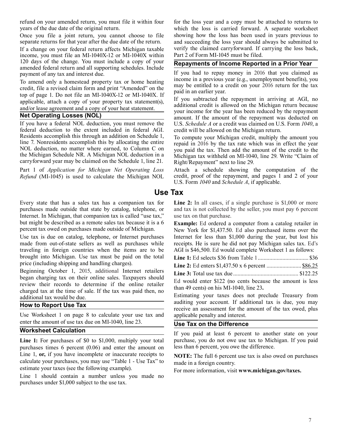refund on your amended return, you must file it within four for the loss year and a copy must be attached to returns to years of the due date of the original return.

Once you file a joint return, you cannot choose to file separate returns for that year after the due date of the return.

If a change on your federal return affects Michigan taxable verify the claimed carryforward. If carrying the loss back, income, you must file an MI-1040X-12 or MI-1040X within Part 2 of Form MI-1045 must be filed. income, you must file an MI-1040X-12 or MI-1040X within 120 days of the change. You must include a copy of your <sup>120</sup> days of the change. You must include <sup>a</sup> copy of your **Repayments of Income Reported in a Prior Year** amended federal return and all supporting schedules. Include

To amend only a homestead property tax or home heating<br>credit, file a revised claim form and print "Amended" on the<br>top of page 1. Do not file an MI-1040X-12 or MI-1040X. If<br>applicable, attach a copy of your property tax s

federal deduction to the extent included in federal AGI.<br>Residents accomplish this through an addition on Schedule 1, Residents accomplish this through an addition on Schedule 1,<br>line 7. Nonresidents accomplish this by allocating the entire<br>NOL deduction, no matter where earned, to Column C on<br>the Michigan Schedule NR. A Michigan NOL dedu carryforward year may be claimed on the Schedule 1, line 21.

*Refund* (MI-1045) is used to calculate the Michigan NOL

Every state that has a sales tax has a companion tax for **Line 2:** In all cases, if a single purchase is \$1,000 or more purchases made outside that state by catalog, telephone, or and tax is not collected by the seller, yo purchases made outside that state by catalog, telephone, or Internet. In Michigan, that companion tax is called "use tax," use tax on that purchase.<br>but might be described as a remote sales tax because it is a  $6$  Example: Ed ordered a

Use tax is due on catalog, telephone, or Internet purchases made from out-of-state sellers as well as purchases while receipts. He is sure he did not pay Michigan sales tax. Ed's traveling in foreign countries when the items are to be AGI is \$46,500. Ed would complete Worksheet 1 as follows: brought into Michigan. Use tax must be paid on the total price (including shipping and handling charges).

Beginning October 1, 2015, additional internet retailers<br>began charging tax on their online sales. Taxpayers should<br>review their records to determine if the online retailer<br>charged tax at the time of sale. If the tax was p

Use Worksheet 1 on page 8 to calculate your use tax and applicable penalty and interest. enter the amount of use tax due on MI-1040, line 23.<br> **Use Tax on the Difference**<br> **Worksheet Calculation** 

purchases times 6 percent (0.06) and enter the amount on less than 6 percent, you owe the difference. Line 1, **or,** if you have incomplete or inaccurate receipts to **NOTE:** The full 6 percent use tax is also owed on purchases calculate your purchases, you may use "Table 1 - Use Tax" to made in a foreign country.<br>
estimate your taxes (see the following example).

 Line <sup>1</sup> should contain <sup>a</sup> number unless you made no purchases under \$1,000 subject to the use tax.

 which the loss is carried forward. A separate worksheet showing how the loss has been used in years previous to and succeeding the loss year should always be submitted to

payment of any tax and interest due.<br>
To amend only a homestead property tax or home heating<br>
To amend only a homestead property tax or home heating<br>
If you had to repay money in 2016 that you claimed as<br>
income in a previ

nd/or lease agreement and a copy of your heat statement.<br> **Net Operating Losses (NOL)**<br>
If you have a federal NOL deduction, you must remove the U.S. Schedule A or a credit was claimed on U.S. Form 1040, a U.S. *Schedule A* or a credit was claimed on U.S. Form 1040, a credit will be allowed on the Michigan return.

Michigan tax withheld on MI-1040, line 29. Write "Claim of Right/Repayment" next to line 29.

, proof of the repayment, and pages 1 and 2 of your Part 1 of *Application for Michigan Net Operating Loss* Attach a schedule showing the computation of the U.S. Form *1040* and *Schedule A*, if applicable.

### **Use Tax**

but might be described as a remote sales tax because it is a 6 **Example:** Ed ordered a computer from a catalog retailer in New York for \$1,437.50. Ed also purchased items over the Internet for less than \$1,000 during the year, but lost his

| <b>I</b> ing 2. Ed enters $$1$ 137.50 x 6 nercent | 88625 |
|---------------------------------------------------|-------|

price (including shipping and handling charges). **Line 2:** Ed enters \$1,437.50 x 6 percent ........................ \$86.25

additional tax would be due.<br>
Estimating your taxes does not preclude Treasury from **How to Report Use Tax** auditing your account. If additional tax is due, you may receive an assessment for the amount of the tax owed, plus

If you paid at least 6 percent to another state on your Line 1: For purchases of \$0 to \$1,000, multiply your total purchase, you do not owe use tax to Michigan. If you paid

For more information, visit **www.michigan.gov/taxes.**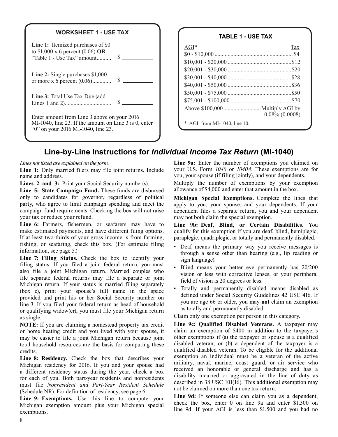

| AGI*                       | Tax                 |
|----------------------------|---------------------|
|                            |                     |
|                            |                     |
|                            |                     |
|                            |                     |
|                            |                     |
|                            |                     |
|                            |                     |
|                            | $0.08\%$ $(0.0008)$ |
| AGI from MI-1040, line 10. |                     |

### **Line-by-Line Instructions for** *Individual Income Tax Return* **(MI-1040)**

Line 1: Only married filers may file joint returns. Include name and address. you, your spouse (if filing jointly), and your dependents.

**Line 5: State Campaign Fund.** These funds are disbursed only to candidates for governor, regardless of political only to candidates for governor, regardless of political **Michigan Special Exemptions.** Complete the lines that party, who agree to limit campaign spending and meet the apply to you, your spouse, and your dependents. If your campaign fund requirements. Checking the box will not raise dependent files a separate return, you and your d campaign fund requirements. Checking the box will not raise dependent files a separate return, you and your dependent

**Line 6:** Farmers, fishermen, or seafarers may have to **Line 9b: Deaf, Blind, or Certain Disabilities.** You make estimated payments, and have different filing options. qualify for this exemption if you are deaf, blind, hemiplegic, If at least two-thirds of your gross income is from farming, paraplegic, quadriplegic, or totally and permanently disabled.<br>
fishing, or seafaring, check this box. (For estimate filing fishing, or seafaring, check this box. (For estimate filing  $\bullet$  Deaf means the primary way you receive messages is information, see page 5.)

**Line 7: Filing Status.** Check the box to identify your sign language).<br>Filing status. If you filed a joint federal return, you must<br>Blind means your better eye permanently has 20/200 also file a joint Michigan return. Married couples who<br>file separate federal returns may file a separate or joint<br>Michigan return. If your status is married filing separately<br>(box c) print your spouse's full name in the sp (box c), print your spouse's full name in the space  $\frac{1 \text{ot} \text{all}}{2 \text{t}}$  and permanently disabled means disabled as defined under Social Security Guidelines 42 USC 416. If provided and print his or her Social Security line 3. If you filed your federal return as head of household you are age 66 or older, you may **not** as totally and permanently disabled. or qualifying widow(er), you must file your Michigan return as single.<br>
Solaim only one exemption per person in this category.<br> **NOTE:** If you are claiming a homestead property tax credit Line 9c: Qualified Disabled Veterans. A taxpayer may

or home heating credit and you lived with your spouse, it claim an exemption of \$400 in addition to the taxpayer's may be easier to file a joint Michigan return because joint other exemptions if (a) the taxpayer or spouse may be easier to file a joint Michigan return because joint total household resources are the basis for computing these credits. qualified disabled veteran. To be eligible for the additional

**Line 8: Residency.** Check the box that describes your exemption an individual must be a veteran of the active<br>Michigan residency for 2016. If you and your spouse had military, naval, marine, coast guard, or air service wh Michigan residency for 2016. If you and your spouse had a different residency status during the year, check a box<br>for each of you. Both part-year residents and nonresidents disability incurred or aggravated in the line of duty as<br>must file. Nonresident and Dant Year, Besident S must file *Nonresident and Part-Year Resident Schedule*  (Schedule NR). For definition of residency, see page 6.<br>Line 9d: If someone else can claim you as a dependent.

Line 9: Exemptions. Use this line to compute your **Line 90:** If someone else can claim you as a dependent, Michigan appendent, check the box, enter 0 on line 9a and enter \$1,500 on Michigan exemption amount plus your Michigan special check the box, enter 0 on line 9a and enter \$1,500 on exemptions.

*Lines not listed are explained on the form.* **Line 9a:** Enter the number of exemptions you claimed on **Line 1:** Only married filers may file joint returns. Include your U.S. Form 1040 or 1040A. These exemptions are for

**Lines 2 and 3:** Print your Social Security number(s). Multiply the number of exemptions by your exemption I ine 5: State Campaign Eund These funds are dispursed allowance of \$4.000 and enter that amount in the box.

may not both claim the special exemption.

- information, see page 5.)<br> **Line 7: Filing Status.** Check the box to identify your<br>
sign language)
	-
	-

**NOTE:** If you are claiming a homestead property tax credit **Line 9c: Qualified Disabled Veterans.** A taxpayer may or home heating credit and you lived with your spouse it claim an exemption of \$400 in addition to the taxp disabled veteran, or (b) a dependent of the taxpayer is a exemption an individual must be a veteran of the active a different residency status during the year, check a box disability incurred or general discharge and has a different residency status during the year, check a box disability incurred or aggravated in the line of duty as not be claimed on more than one tax return.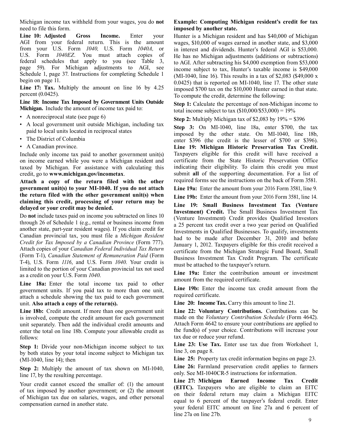Michigan income tax withheld from your wages, you do **not Example: Computing Michigan resident's credit for tax**  need to file this form. **imposed by another state.** 

**Line 10: Adjusted Gross Income.** Enter your Hunter is a Michigan resident and has \$40,000 of Michigan AGI from your federal return. This is the amount wages \$10,000 of wages earned in another state, and \$3,000 from your U.S. Form *1040*, U.S. Form *1040A*, or in interest and dividends. Hunter's federal AGI is \$53,000.<br>U.S. Form *1040EZ*. You must attach copies of He has no Michigan adjustments (additions or subtractions) U.S. Form *1040EZ*. You must attach copies of He has no Michigan adjustments (additions or subtractions) federal schedules that apply to you (see Table 3, to AGI. After subtracting his \$4,000 exemption from \$53,000 page 59 page 59). For Michigan adjustments to AGI, see income subject to tax, Hunter's taxable income is \$49,000<br>Schedule 1, page 37. Instructions for completing Schedule 1 (MI-1040, line 16). This results in a tax of \$2,083 (\$49

percent (0.0425).<br> **Example 18: Income Tax Imposed by Government Units Outside Stop 1:** Calculate the percentage of non Michig. Line 18: Income Tax Imposed by Government Units Outside Step 1: Calculate the percentage of non-Michigan income to Michigan. Include the amount of income tax paid to:<br>
total income subject to tax (\$10,000/\$53,000) = 10%

- 
- A nonreciprocal state (see page 6) **Step 2:** Multiply Michigan tax of \$2,083 by 19% = \$396<br>• A local government unit outside Michigan, including tax **Step 3:** On MI 1040, line 18s, onter \$700, the
- 
- A Canadian province.

Include only income tax paid to another government unit(s) on income earned while you were a Michigan resident and taxed by Michigan. For assistance with calculating this

Attach a copy of the return filed with the other **government unit(s) to your MI-1040. If you do not attach** Line 19a: Enter the amount from your 2016 Form 3581, line 9.<br> **the return filed with the other government unit(s) when Line 10b**: Enter the amount from your 2016 **the return filed with the other government unit(s) when** Line 19b: Enter the amount from your 2016 Form 3581, line 14. claiming this credit, processing of your return may be

Do **not** include taxes paid on income you subtracted on lines 10 (Venture Investment) Credit provides Qualified Investors through 26 of Schedule 1 (e.g., rental or business income from a 25 percent tax eradit over a two ye through 26 of Schedule 1 (e.g., rental or business income from a 25 percent tax credit over a two year period on Qualified another state, part-year resident wages). If you claim credit for Investments in Qualified Business another state, part-year resident wages). If you claim credit for Investments in Qualified Businesses. To qualify, investments Canadian provincial tax, you must file a *Michigan Resident* had to be made after December 21, *Credit for Tax Imposed by a Canadian Province* (Form 777). January 1, 2012. Taxpayers eligible for this credit received a Attach copies of your *Canadian Federal Individual Tax Return contribute from the Mighigan Strate*  Attach copies of your *Canadian Federal Individual Tax Return* certificate from the Michigan Strategic Fund Board, Small T-4), U.S. Form *1116*, and U.S. Form *1040*. Your credit is limited to the portion of your Canadian provincial tax not used

as a credit on your U.S. Form 1040.<br> **Line 19a:** Enter the contribution amount or investment<br> **Line 19a:** Enter the contribution amount or investment<br> **Line 19b:** Enter the income tax credit amount from the<br>
sovernment uni government units. If you paid tax to more than one unit, **Line 19b:** Enter the attach a schedule showing the tax paid to each government required certificate.  $\alpha$  attach a schedule showing the tax paid to each government required certificate. unit. Also attach a copy of the return(s). Line 20: Income Tax. Carry this amount to line 21.

is involved, compute the credit amount for each government made on the *Voluntary Contribution Schedule* (Form 4642).<br>unit separately. Then add the individual credit amounts and Attach Form 4642 to ensure your contribution unit separately. Then add the individual credit amounts and<br>exparation 4642 to ensure your contributions are applied to<br>the fund(s) of your choice. Contributions will increase your<br>versions will increase your enter the total on line 18b. Compute your allowable credit as follows: tax due or reduce your refund.

**Step 1:** Divide your non-Michigan income subject to tax  $\frac{Line\ 23: Use\ 1}{line 3, on page\ 8}$ . by both states by your total income subject to Michigan tax (MI-1040, line 14); then **Line 25:** Property tax credit information begins on page 23.

only. See MI-1040CR-5 instructions for information.<br>line 17, by the resulting percentage.<br>Line 27: Michigan Earned Income Tax

of tax imposed by another government; or (2) the amount of Michigan tax due on salaries, wages, and other personal

wages, \$10,000 of wages earned in another state, and \$3,000  $0.0425$ ) that is reported on MI-1040, line 17. The other state **Line 17: Tax.** Multiply the amount on line 16 by 4.25 imposed \$700 tax on the \$10,000 Hunter earned in that state.<br>
To compute the credit determine the following:

**Michigan.** Include the amount of income tax paid to: total income subject to tax (\$10,000/\$53,000) = 19%<br>
• A nonreciprocal state (see page 6)<br> **• Stop 2:** Multiply Michigan tax of \$2.083 by 10% – \$

• A local government unit outside Michigan, including tax **Step 3:** On MI-1040, line 18a, enter \$700, the tax imposed by the other state. On MI-1040, line 18b, enter \$396 (the credit is the lesser of \$700 or \$396) enter  $$396$  (the credit is the lesser of  $$700$  or  $$396$ ). **Line 19: Michigan Historic Preservation Tax Credit.**  Taxpayers eligible for this credit will have received a certificate from the State Historic Preservation Office indicating their eligibility. To claim this credit you must credit, go to **www.michigan.gov/incometax**.<br> **Attach** a conv of the return filed with the other required forms see the instructions on the back of Form 3581.

**claiming this credit, processing of your return may be Line 19: Small Business Investment Tax (Venture delayed or your credit may be denied.** Investment) Credit. The Small Business Investment Tax Do not include taxes paid had to be made after December 31, 2010 and before Business Investment Tax Credit Program. The certificate must be attached to the taxpayer's return.

**Line 19a:** Enter the contribution amount or investment as a credit on your U.S. Form *1040*.

**Line 18b:** Credit amount. If more than one government unit **Line 22: Voluntary Contributions.** Contributions can be is involved, compute the credit amount for each government made on the *Voluntary Contribution Schedule*

Line 23: Use Tax. Enter use tax due from Worksheet 1,

**Step 2:** Multiply the amount of tax shown on MI-1040, Line 26: Farmland preservation credit applies to farmers

Your credit cannot exceed the smaller of: (1) the amount **Line 27: Michigan Earned Income Tax Credit (EITC).** Taxpayers who are eligible to claim an EITC on their federal return may claim a Michigan EITC of Michigan tax due on salaries, wages, and other personal<br>
equal to 6 percent of the taxpayer's federal credit. Enter<br>
compensation earned in another state. your federal EITC amount on line 27a and 6 percent of line 27a on line 27b.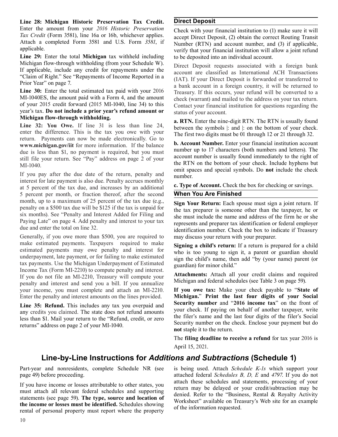**Line 28: Michigan Historic Preservation Tax Credit. Direct Deposit**  Enter the amount from your 2016 Historic Preservation Check with your financial institution to (1) make sure it will Tax Credit (Form 3581), line 16a or 16b, whichever applies. accent Direct Denosit (2) obtain the correct

**Line 29:** Enter the total **Michigan** tax withheld including to be deposited into an individual account.<br>Michigan flow-through withholding (from your Schedule W). Direct Deposit requests associated with

MI-1040ES, the amount paid with a Form 4, and the amount check (warrant) and mailed to the address on your tax return.<br>
of your 2015 credit forward (2015 MI-1040, line 34) to this Contact your financial institution for que year's tax. **Do not include a prior year's refund amount or** status of your account.<br>**Michigan flow-through withholding.** 

**Line 32: You Owe.** If line 31 is less than line 24, between the symbols |: and |: on the bottom of your check. enter the difference. This is the tax you owe with your check. return. Payments can now be made electronically. Go to **b. Account Number.** Enter your financial institution account **www.michigan.gov/iit** for more information. If the balance **b. Account Number.** Enter your financial institution account due is less than \$1, no nayment is req due is less than \$1, no payment is required, but you must<br>account number up to 1/ characters (both numbers and letters). The<br>account number is usually found immediately to the right of still file your return. See "Pay" address on page 2 of your  $ML-1040$ .<br>MI-1040.

If you pay after the due date of the return, penalty and number.<br>interest for late payment is also due. Penalty accrues monthly at 5 percent of the tax due, and increases by an additional **c. Type of Account.** Check the box for checking or savings.<br>5 percent per month, or fraction thereof, after the second **When You Are Finished** 5 percent per month, or fraction thereof, after the second month, up to a maximum of 25 percent of the tax due (e.g., **Sign Your Return:** Each spouse must sign a joint return. If penalty on a \$500 tax due will be \$125 if the tax is unpaid for the tax propert is sepponed other than six months). See "Penalty and Interest Added for Filing and she must include the name and address of the firm he or she paying Late" on page 4. Add penalty and interest to your tax

Generally, if you owe more than \$500, you are required to may discuss your return with your preparer. make estimated payments. Taxpayers required to make **Signing a child's return:** If a return is prepared for a child estimated payments may owe penalty and interest for who is too young to sign it a parent or quardian shoul estimated payments may owe penalty and interest for who is too young to sign it, a parent or guardian should underpayment, late payment, or for failing to make estimated sign the child's name than add "by (your name) paren underpayment, late payment, or for failing to make estimated sign the child's name, then add "by (your name) parent (or tax payments. Use the Michigan Underpayment of Estimated guardian) for minor child." Income Tax (Form MI-2210) to compute penalty and interest. If you do not file an MI-2210, Treasury will compute your **Attachments:** Attach all your credit claims and required negative and interest and send you a hill If you amusting Michigan and federal schedules (see Table 3 on p penalty and interest and send you a bill. If you annualize your income, you must complete and attach an MI-2210. **If you owe tax:** Make your check payable to "**State of**  Enter the penalty and interest amounts on the lines provided. **Michigan.**" **Print the last four digits of your Social** 

*Tax Credit* (Form 3581), line 16a or 16b, whichever applies. accept Direct Deposit, (2) obtain the correct Routing Transit Attach a completed Form 3581 and U.S. Form 3581, if Number (RTN) and account number and (3) if app Attach a completed Form 3581 and U.S. Form 3581, if Number (RTN) and account number, and (3) if applicable, applicable verify that your financial institution will allow a joint refund

If applicable, include any credit for repayments under the<br>
"Claim of Right." See "Repayments of Income Reported in a<br>
Prior Year" on page 7.<br>
Line 30: Enter the total estimated tax paid with your 2016<br>
Treasury If this oc Treasury. If this occurs, your refund will be converted to a Contact your financial institution for questions regarding the

**Michigan flow-through withholding. a. RTN.** Enter the nine-digit RTN. The RTN is usually found Line 32: You Owe. If line 31 is less than line 24, between the symbols line of the bettom of your check. The first two digits must be 01 through 12 or 21 through 32.

omit spaces and special symbols. Do **not** include the check

the tax preparer is someone other than the taxpayer, he or Paying Late on page 4. Add penalty and interest to your tax represents and preparer tax identification or federal employer due and enter the total on line 32.

**Line 35: Refund.** This includes any tax you overpaid and<br>any credits you claimed. The state does not refund amounts<br>less than \$1. Mail your return to the "Refund, credit, or zero<br>returns" address on page 2 of your MI-1040 **not** staple it to the return.

> The **filing deadline to receive a refund** for tax year 2016 is April 15, 2021.

### **Line-by-Line Instructions for** *Additions and Subtractions* **(Schedule 1)**

Part-year and nonresidents, complete Schedule NR (see is being used. Attach *Schedule K-1s* which support your page 49) before proceeding. attached federal *Schedules B, D, E* and *4797*. If you do not

If you have income or losses attributable to other states, you<br>must attach all relevant federal schedules and supporting<br>statements (see page 59). The type, source and location of<br>the income or losses must be identified. S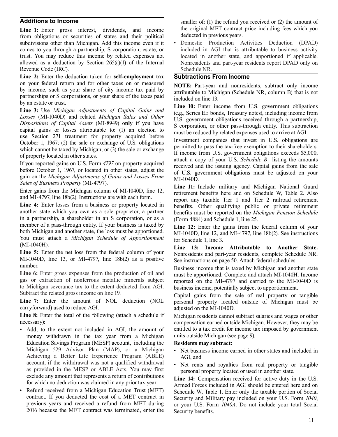from obligations or securities of states and their political deducted in previous years.<br>subdivisions other than Michigan. Add this income even if it • Domestic Production Activities Deduction (DPAD) subdivisions other than Michigan. Add this income even if it comes to you through a partnership, S corporation, estate, or included in AGI that is attributable to business activity trust. You may reduce this income by related expenses not located in another state, and apportioned if applicable. allowed as a deduction by Section 265(a)(1) of the Internal Nonresidents and part-year residents report DPAD only on Revenue Code (IRC). Schedule NR.

**Line 2:** Enter the deduction taken for **self-employment tax Subtractions From Income** on your federal return and for other taxes on or measured on your federal return and for other taxes on or measured<br>by income, such as your share of city income tax paid by<br>partnerships or S corporations, or your share of the taxes paid<br>by an estate or trust.<br>Line 3: Use Michigan

Losses (MI-1040D) and related Michigan Sales and Other<br>Dispositions of Capital Assets (MI-8949) only if you have<br>capital gains or losses attributable to: (1) an election to<br>use Section 271 treatment for property acquired b

in a partnership, a shareholder in an S corporation, or as a (Form 4884) and Schedule 1, line 25.<br>member of a pass-through entity. If your business is taxed by  $\overrightarrow{I}$  ine 12. Enter the gains from the member or a pass-through entity. If your business is taxed by<br>both Michigan and another state, the loss must be apportioned.<br>You must attach a *Michigan Schedule of Apportionment* for Schedule 1, line 3. You must attach a *Michigan Schedule of Apportionment* (MI-1040H).

Line 5: Enter the net loss from the federal column of your<br>MI-1040D, line 13, or MI-4797, line 18b(2) as a positive See instructions on page 50. Attach federal schedules MI-1040D, line 13, or MI-4797, line 18b(2) as a positive See instructions on page 50. Attach federal schedules.<br>number

Line 6: Enter gross expenses from the production of oil and must be apportioned. Complete and attach MI-1040H. Income gas or extraction of nonferrous metallic minerals subject reported on the MI-4797 and carried to the MIgas or extraction of nonferrous metallic minerals subject reported on the MI-4797 and carried to the MI-1040D is to Michigan severance tax to the extent deducted from AGI. Invarious process income notentially subject to ap to Michigan severance tax to the extent deducted from AGI. business income, potentially subject to apportionment.<br>Subtract the related gross income on line 19.

carryforward) used to reduce AGI.

Line 8: Enter the total of the following (attach a schedule if necessary):

- Add, to the extent not included in AGI, the amount of entitled to a tax credit for income tax imposed by government money withdrawn in the tax vear from a Michigan units outside Michigan (see page 9). money withdrawn in the tax year from a Michigan Education Savings Program (MESP) account, including the **Residents may subtract:**<br>Michigan 529 Advisor Plan (MAP), or a Michigan • Net business income ex-Achieving a Better Life Experience Program (ABLE) AGI, and account, if the withdrawal was not a qualified withdrawal . Net rents as provided in the MESP or ABLE Acts. You may first exclude any amount that represents a return of contributions
- 2016 because the MET contract was terminated, enter the Security benefits.

**Additions to Income** Smaller of: (1) the refund you received or (2) the amount of Smaller of: (1) the refund you received or (2) the amount of **Line 1:** Enter gross interest, dividends, and income the original MET contract price including fees which you from obligations or securities of states and their political deducted in previous years.

use Section 271 treatment for property acquired before<br>
October 1, 1967; (2) the sale or exchange of U.S. obligations<br>
which cannot be taxed by Michigan; or (3) the sale or exchange<br>
of property located in other states.<br>
o

and M1-4/97, line 180(2). Instructions are with each form.<br> **Line 4:** Enter losses from a business or property located in benefits. Other qualifying public or private retirement another state which you own as a sole propri benefits must be reported on the *Michigan Pension Schedule* 

(MI-1040H). **Line 13: Income Attributable to Another State.** 

number.<br> **Example 1998** Business income that is taxed by Michigan and another state<br>
Line 6: Enter gross expenses from the production of oil and<br>
must be apportioned Complete and attach MI-1040H Income

Subtract the related gross income on line 19.<br> **Capital gains from the sale of real property or tangible**<br> **Line 7:** Enter the amount of NOL deduction (NOL personal property located outside of Michigan must be personal property located outside of Michigan must be adjusted on the MI-1040D.

> Michigan residents cannot subtract salaries and wages or other compensation earned outside Michigan. However, they may be

- Net business income earned in other states and included in
- Net rents and royalties from real property or tangible personal property located or used in another state.

Exclude any amount that represents a return of contributions<br>for which no deduction was claimed in any prior tax year.<br>Refund received from a Michigan Education Trust (MET)<br>Schedule W Table 1. Enter only the taxable portio Refund received from a Michigan Education Trust (MET) Schedule W, Table 1. Enter only the taxable portion of Social contract. If you deducted the cost of a MET contract in Security and Military pay included on your U.S. F contract. If you deducted the cost of a MET contract in Security and Military pay included on your U.S. Form 1040, previous years and received a refund from MET during or your U.S. Form 1040A. Do not include your total Soc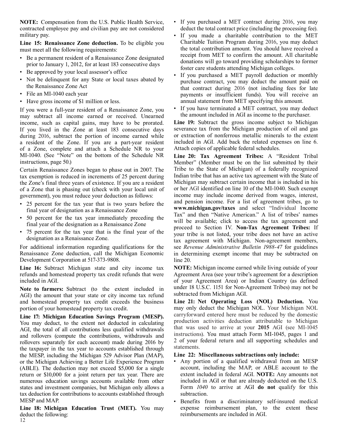**NOTE:** Compensation from the U.S. Public Health Service,  $\cdot$  If you purchased a MET contract during 2016, you may contracted employee pay and civilian pay are not considered deduct the total contract price (including the contracted employee pay and civilian pay are not considered

must meet all the following requirements: the total contribution amount. You should have received a

- 
- 
- Not be delinquent for any State or local taxes abated by purchase contract, you may deduct the amount paid on the Renaissance Zone Act
- 
- 

may subtract all income earned or received. Unearned the amount included in AGI as income to the purchaser.<br>
income such as capital gains may have to be prorated Line 19: Subtract the gross income subject to Michigan income, such as capital gains, may have to be prorated. **Line 19:** Subtract the gross income subject to Michigan If you lived in the Zone at least 183 consecutive days severance tax from the Michigan production of oil and If you lived in the Zone at least 183 consecutive days severance tax from the Michigan production of oil and gas during 2016, subtract the portion of income earned while or extraction of nonferrous metallic minerals to the during 2016, subtract the portion of income earned while or extraction of nonferrous metallic minerals to the extent a resident of the Zone. If you are a part-vear resident included in AGI. Add back the related expenses on a resident of the Zone. If you are a part-year resident included in AGI. Add back the related expenses of a  $Z$ one. complete and attach a Schedule NR to your Attach copies of applicable federal schedules. of a Zone, complete and attach a Schedule NR to your MI-1040. (See "Note" on the bottom of the Schedule NR MI-1040. (See "Note" on the bottom of the Schedule NR **Line 20: Tax Agreement Tribes:** A "Resident Tribal

Certain Renaissance Zones began to phase out in 2007. The Tribe to the State of Michigan) of a federally recognized tax exemption is reduced in increments of 25 percent during Indian tribe that has an active tax agreement tax exemption is reduced in increments of 25 percent during Indian tribe that has an active tax agreement with the State of the Zone's final three years of existence If you are a resident Michigan may subtract certain inco the Zone's final three years of existence. If you are a resident Michigan may subtract certain income that is included in his of a Zone that is phasing out (check with your local unit of or her AGI identified on line 10 of of a Zone that is phasing out (check with your local unit of or her AGI identified on line 10 of the MI-1040. Such exempt sovernment) you must reduce your deduction as follows income may include income derived from wages,

- 25 percent for the tax year that is two years before the
- 
- 

For additional information regarding qualifications for the see *Revenue Administrative Bulletin 1988-47* for guidelines Renaissance Zone deduction, call the Michigan Economic in determining exempt income that may be subtr Development Corporation at 517-373-9808. line 20.

**Line 16:** Subtract Michigan state and city income tax **NOTE:** Michigan income earned while living outside of your refunds and homestead property tax credit refunds that were Agreement Area (see your tribe's agreement for refunds and homestead property tax credit refunds that were included in AGI.

 AGI) the amount that your state or city income tax refund subtracted from Michigan AGI. and homestead property tax credit exceeds the business **Line 21: Net Operating Loss (NOL) Deduction.** You

**Line 17: Michigan Education Savings Program (MESP).** carryforward entered here must be reduced by the domestic You may deduct, to the extent not deducted in calculating production activities deduction attributable to Michigan deduction attributable to Michigan degree of all contributions less qualified withdrawals that was used to AGI, the total of all contributions less qualified withdrawals and that was used to arrive at your **2015** AGI (see MI-1045 and rollowers (compute the contributions withdrawals and instructions). You must attach Form MI-104 and rollovers (compute the contributions, withdrawals and instructions). You must attach Form MI-1045, pages 1 and rollowers separately for each account) made during 2016 by 2 of your federal return and all supporting sche rollovers separately for each account) made during 2016 by <sup>2 of your</sup> the texnover in the texnog resolution of the returnants. the taxpayer in the tax year to accounts established through statements.<br>the MESP, including the Michigan 529 Advisor Plan (MAP), Line 22: Miscellaneous subtractions only include: the MESP, including the Michigan 529 Advisor Plan (MAP), **Line 22: Miscellaneous subtractions only include:** or the Michigan Achieving a Better Life Experience Program  $\bullet$  Any portion of a qualified withdrawal from an MES or the Michigan Achieving a Better Life Experience Program • Any portion of a qualified withdrawal from an MESP<br>(ABLE). The deduction may not exceed \$5.000 for a single account, including the MAP, or ABLE account to the (ABLE). The deduction may not exceed  $\frac{$5,000}{90}$  for a single account, including the MAP, or ABLE account to the return or \$10,000 for a joint return per tax year. There are extent included in federal AGI. **NOTE:** Any return or \$10,000 for a joint return per tax year. There are extent included in federal AGI. **NOTE:** Any amounts not numerous education savings accounts available from other included in AGI or that are already deducted on the U.S. states and investment companies, but Michigan only allows a Form  $1040$  to arrive at AGI **do not** qualify fo states and investment companies, but Michigan only allows a tax deduction for contributions to accounts established through subtraction.

**Line 18: Michigan Education Trust (MET).** You may deduct the following: reimbursements are included in AGI.

- 
- military pay. **•** If you made a charitable contribution to the MET **Line 15: Renaissance Zone deduction.** To be eligible you Charitable Tuition Program during 2016, you may deduct receipt from MET to confirm the amount. All charitable • Be a permanent resident of a Renaissance Zone designated<br>
prior to January 1, 2012, for at least 183 consecutive days<br>
• Be approved by your local assessor's office<br>
• If you purchased a MET payrell deduction or morthly
- If you purchased a MET payroll deduction or monthly the Renaissance Zone Act that contract during 2016 (not including fees for late<br>File an MI-1040 each year that contract during 2016 (not including fees for late<br>nayments or insufficient funds). You will receive an payments or insufficient funds). You will receive an • Have gross income of \$1 million or less. annual statement from MET specifying this amount.
- If you were a full-year resident of a Renaissance Zone, you <br>may subtract all income earned or received Unearned the amount included in AGI as income to the purchaser.

Member" (Member must be on the list submitted by their government), you must reduce your deduction as follows: income may include income derived from wages, interest,<br>
• 25 percent for the tax year that is two years before the and pension income. For a list of agreement tribes **www.michigan.gov/taxes** and select "Individual Income final year of designation as a Renaissance Zone Tax" and then "Native American." A list of tribes' names • 50 percent for the tax year immediately preceding the will be available; click to access the tax agreement and proceed to Section IV. **Non-Tax Agreement Tribes:** If proceed to Section IV. **Non-Tax Agreement Tribes:** If p  $\frac{75}{15}$  percent for the tax year that is the final year of the your tribe is not listed, your tribe does not have an active designation as a Renaissance Zone. designation as a Renaissance Zone.<br>For additional information regarding qualifications for the see Revenue Administrative Bulletin 1988-47 for guidelines in determining exempt income that may be subtracted on

of your Agreement Area) or Indian Country (as defined **Note to farmers:** Subtract (to the extent included in under 18 U.S.C. 1151 for Non-Agreement Tribes) may not be AGU the amount that your state or city income tax refund subtracted from Michigan AGI.

portion of your homestead property tax credit. may only deduct the Michigan NOL. Your Michigan NOL<br> **Fine 17:** Michigan Education Savings Program (MESP) carryforward entered here must be reduced by the domestic

- 
- MESP and MAP.<br> **•** Benefits from a discriminatory self-insured medical<br> **Line 18: Michigan Education Trust (MET).** You may expense reimbursement plan, to the extent these

12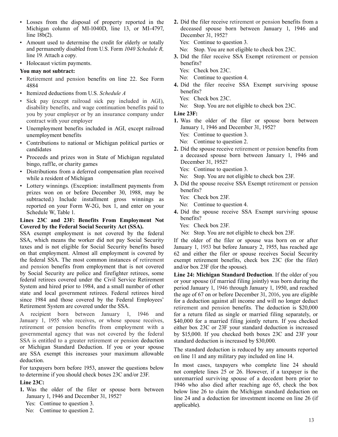- Michigan column of MI-1040D, line 13, or MI-4797, line 18b(2). December 31, 1952?
- Amount used to determine the credit for elderly or totally Yes: Continue to question 3. and permanently disabled from U.S. Form 1040 Schedule R, No: Stop. You are not eligible to check box 23C.<br> **3** Did the filer receive SSA Exempt retirement or
- Holocaust victim payments. benefits?

### **You may not subtract:**  $\qquad \qquad \text{Yes:} \quad \text{Check box 23C.}$

- Retirement and pension benefits on line 22. See Form No: Continue to question 4.<br>4884<br>**4.** Did the filer receive SSA
- 
- Itemized deductions from U.S. *Schedule A* **benefits?**<br>
 Sick pay (except railroad sick pay included in AGI), Yes: Check box 23C. eligible to check box 23C. disability benefits and wage continuation benefits paid to No: disability benefits, and wage continuation benefits paid to you by your employer or by an insurance company under **Line 23F:**
- Unemployment benefits included in AGI, except railroad unemployment benefits Yes: Continue to question 3.
- Contributions to national or Michigan political parties or No: Continue to question 2.
- Proceeds and prizes won in State of Michigan regulated a deceased spouse bing raffle or charity games bingo, raffle, or charity games<br>Distributions from a defeated componention plan received Yes: Continue to question 3.
- Distributions from a deferred compensation plan received While a resident of Michigan **No:** Stop. You are not eligible to check box 23F.<br>
Lettery winnings (Execution: installment perments from **3.** Did the spouse receive SSA Exempt retirement or pension
- Lottery winnings. (Exception: installment payments from **3.** Did the s<br>pension *spouse refers* Describes 20, 1009 were been penefits? prizes won on or before December 30, 1988, may be  $\frac{\text{benents}}{\text{C}}$ <br>subtracted) Include installment gross winnings as Yes: Check box 23F. subtracted.) Include installment gross winnings as  $\gamma$ es: Check box 23F.<br>
reported on your Form W-2G box 1 and enter on your No: Continue to question 4. reported on your Form W-2G, box 1, and enter on your Schedule W, Table 1.

### **Lines 23C and 23F: Benefits From Employment Not** benefits?<br>Covered by the Federal Social Security Act (SSA) Yes: Check box 23F. **Covered by the Federal Social Security Act (SSA).** Yes: Check box 23F.<br>SSA exempt employment is not covered by the federal No: Stop. You are not eligible to check box 23F.

SSA exempt employment is not covered by the federal SSA, which means the worker did not pay Social Security If the older of the filer or spouse was born on or after taxes and is not eligible for Social Security benefits based January 1, 1953 but before January 2, 1955, has reached age on that employment. Almost all employment is covered by 62 and either the filer or spouse receives Social Security the federal SSA. The most common instances of retirement exempt retirement benefits, check box 23C (for the filer) and pension benefits from employment that is not covered and/or box 23F (for the spouse).<br>by Social Security are police and firefighter retirees, some Line 24: Michigan Standard I by Social Security are police and firefighter retirees, some<br>federal retirees covered under the Civil Service Retirement<br>System and hired prior to 1984, and a small number of other<br>or your spouse (if married filing jointly state and local government retirees. Federal retirees hired<br>since 1984 and those covered by the Federal Employees' for a deduction against all income and will no longer deduct<br>Retirement System are covered under the SSA.

A recipient born between January 1, 1946 and for a return filed as single or married filing separately, or January 1, 1955 who receives, or whose spouse receives, \$40,000 for a married filing jointly return. If you checked retirement or pension benefits from employment with a governmental agency that was not covered by the federal SSA is entitled to a greater retirement or pension deduction standard deduction is increased by \$30,000.<br>or Michigan Standard Deduction. If you or your spouse The standard deduction is reduced by any or Michigan Standard Deduction. If you or your spouse The standard deduction is reduced by any amounts reported are SSA exempt this increases your maximum allowable and line 11 and one military pay included on line 14. are SSA exempt this increases your maximum allowable<br>deduction.<br>For taugust have been before 1052, against the maximum below. In most cases, taxpayers who complete line 24 should

- -
	-

• Losses from the disposal of property reported in the **2.** Did the filer receive retirement or pension benefits from a Michigan column of MI-1040D, line 13, or MI-4797, deceased spouse born between January 1, 1946 and

- 
- **3.** Did the filer receive SSA Exempt retirement or pension
	-
	-
- 4. Did the filer receive SSA Exempt surviving spouse benefits?
	-
	-

- contract with your employer<br>Internal variable of the filer or spouse born between<br>Internal variable of the filer or spouse born between<br>Internal variable of the filer or spouse born between<br>Internal variable of the filer o
	-
	-
- candidates<br>**2.** Did the spouse receive retirement or pension benefits from<br>**2.** Did the spouse receive retirement or pension benefits from<br>**2.** Did the spouse receive retirement or pension benefits from<br>**2.** Did the spouse

- 
- -
	-
- 4. Did the spouse receive SSA Exempt surviving spouse benefits?
	-
	-

period January 1, 1946 through January 1, 1950, and reached retirement and pension benefits. The deduction is \$20,000 \$40,000 for a married filing jointly return. If you checked either box 23C or 23F your standard deduction is increased by \$15,000. If you checked both boxes 23C and 23F your

For taxpayers born before 1953, answer the questions below  $\frac{10000 \text{ m}}{10000 \text{ m}}$  for taxpayers who complete line 24 should to determine if you should about beyond  $\frac{22 \text{ G and for 22E}}{1000 \text{ m}}$ to determine if you should check boxes 23C and/or 23F.<br>
unremarried surviving spouse of a decedent born prior to<br>
1046 relievants died of the marrier spouse of a decedent born prior to **Line 23C:** <sup>1946</sup> who also died after reaching age 65, check the box<br>**1.** Was the older of the filer or spouse born between **below** line 26 to claim the Michigan standard deduction on Was the older of the filer or spouse born between below line 26 to claim the Michigan standard deduction on January 1, 1946 and December 31, 1952? January 1, 1946 and December 31, 1952? line 24 and a deduction for investment income on line 26 (if Yes: Continue to question 3. applicable). No: Continue to question 2.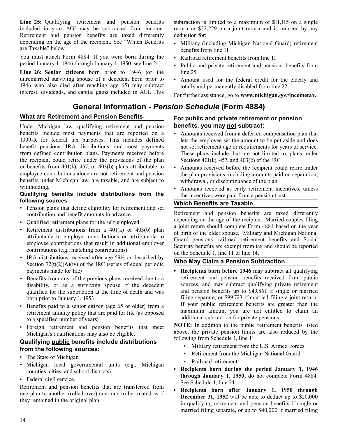Retirement and pension benefits are taxed differently deduction for: **Line 25:** Qualifying retirement and pension benefits subtraction is limited to a maximum of \$11,115 on a single included in your AGI may be subtracted from income. return or \$22,229 on a joint return and is reduced by any included in your AGI may be subtracted from income. depending on the age of the recipient. See "Which Benefits • Military (including Michigan National Guard) retirement are Taxable" below.

You must attach Form 4884. If you were born during the • Railroad retirement benefits from line 11 period January 1, 1946 through January 1, 1950, see line 24.

**Line 26: Senior citizens** born prior to 1946 (or the line 25 unremarried surviving spouse of a decedent born prior to  $\bullet$  Amoun 1946 who also died after reaching age 65) may subtract totally and permanently disabled from line 22.<br>interest, dividends, and capital gains included in AGI. This

### **General Information -** *Pension Schedule* **(Form 4884)**

Under Michigan law, qualifying retirement and pension **benefits, you may not subtract:**  benefits include most payments that are reported on a • Amounts received from a deferred compensation plan that 1099-R for federal tax purposes. This includes defined lets the employee set the amount to be put aside and do 1099-R for federal tax purposes. This includes defined lets the employee set the amount to be put aside and does benefit pensions, IRA distributions, and most payments not set retirement age or requirements for vears of se from defined contribution plans. Payments received before These plans include, but are not limited to, plans under the recipient could retire under the provisions of the plan Sections  $401(k)$ ,  $457$ , and  $403(b)$  of the IRC or benefits from 401(k), 457, or 403(b) plans attributable to  $\bullet$  Amounts received before the recipient could retire under employee contributions alone are not retirement and pension benefits under Michigan law, are taxable, and are subject to withdrawal, or discontinuance of the plan withholding.

# **Qualifying benefits include distributions from the** the incentives were paid from a pension trust.<br> **Multiply Panefite are Towphle**

- Pension plans that define eligibility for retirement and set contribution and benefit amounts in advance Retirement and pension benefits are taxed differently
- 
- 
- IRA distributions received after age  $59\frac{1}{2}$  or described by Section 72(t)(2)(A)(iv) of the IRC (series of equal periodic **Who May Claim a Pension Subtraction**<br>payments made for life) **• Recipients born before 1946** may subtract a
- qualified for the subtraction at the time of death and was
- retirement annuity policy that are paid for life (as opposed additional subtraction for private pensions.<br>to a specified number of years) and pension henefits that meet **NOTE:** In addition to the public retirement benefits listed
- 

# Gualifying public benefits include distributions from the following sources:

- 
- Michigan local governmental units (e.g., Michigan **· Recipients born during the period January 1, 1946**<br>counties, cities, and school districts) **through January 1, 1950**, do not complete Form 4884.
- Federal civil service.

Retirement and pension benefits that are transferred from

- benefits from line 11
- 
- Public and private retirement and pension benefits from
- Amount used for the federal credit for the elderly and

For further assistance, go to **www.michigan.gov/incometax.** 

# **What are Retirement and Pension Benefits For public and private retirement or pension**

- hencefortheim and most periodic periodic payments for years of service.
- the plan provisions, including amounts paid on separation,
- Amounts received as early retirement incentives, unless

### **Which Benefits are Taxable**

• Qualified retirement plans for the self-employed<br>a joint return should complete Form 4884 based on the year • Retirement distributions from a  $401(k)$  or  $403(b)$  plan<br>attributable to employer contributions or attributable to<br>employee contributions that result in additional employer<br>contributions (e.g., matching contributions)<br>co

• Recipients born before 1946 may subtract all qualifying Benefits from any of the previous plans received due to a retirement and pension benefits received from public disability or as a surviving spouse if the decedent sources, and may subtract qualifying private retirement disability, or as a surviving spouse if the decedent sources, and may subtract qualifying private retirement qualified for the subtraction at the time of death and was and pension benefits up to \$49,861 if single or marrie born prior to January 1, 1953<br>
Born prior to January 1, 1953<br>
Filing separate, or \$99,723 if married filing a joint return.<br>
If your public retirement benefits are greater than the Example 1 Senefits paid to a senior citizen (age 65 or older) from a<br>**•** If your public retirement benefits are greater than the *national* serior of the senior of the *national* serior of the *national* serior of the *na* 

• Foreign retirement and pension benefits that meet **NOTE:** In addition to the public retirement benefits listed Michigan's qualifications may also be eligible.<br>
Whichigan's qualifications may also be eligible.<br>  $\frac{1}{100}$  following from Schedule 1, line 11:

- Military retirement from the U.S. Armed Forces<br>• Retirement from the Michigan National Guard
- The State of Michigan National Guard The State of Michigan National Guard The State of Michigan
	- Railroad retirement.
	- See Schedule 1, line 24.
- one plan to another (rolled over) continue to be treated as if<br>they remained in the original plan.<br>they remained in the original plan.<br>in qualifying retirement and pension benefits if single or married filing separate, or up to \$40,000 if married filing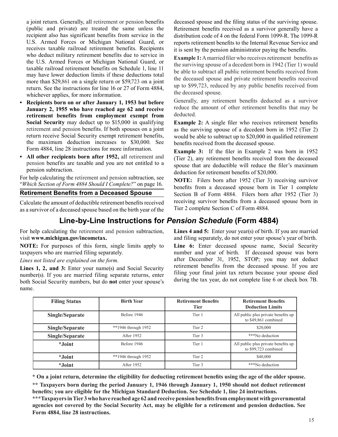receives taxable railroad retirement benefits. Recipients it is sent by the pension administrator paying the benefits.<br>who deduct military retirement benefits due to service in more than \$29,861 on a single return or \$59,723 on a joint return. See the instructions for line 16 or 27 of Form 4884, the deceased spouse.<br>
whichever applies, for more information.<br> **Recipients here** applies, for more information.<br> **Recipients here** applies, for more informatio

- **Recipients born on or after January 1, 1953 but before** Generally, any retirement benefits deducted as a survivor<br>**Innuary 2, 1955 who have reached age 62 and receive** reduce the amount of other retirement benefits that **January 2, 1955 who have reached age 62 and receive** reduce the retirement benefits from employment example. retirement benefits from employment exempt from
- 

as a survivor of a deceased spouse based on the birth year of the

For help calculating the retirement and pension subtraction, visit **www.michigan.gov/incometax.**

**NOTE:** For purposes of this form, single limits apply to taxpayers who are married filing separately.

number(s). If you are married filing separate returns, enter all the your final joint tax return because your spouse died helpha Social Security numbers, but do not enter your spouse's during the tax year, do not complete both Social Security numbers, but do **not** enter your spouse's name.

a joint return. Generally, all retirement or pension benefits deceased spouse and the filing status of the surviving spouse. (public and private) are treated the same unless the Retirement benefits received as a survivor generally have a recipient also has significant benefits from service in the distribution code of 4 on the federal Form 1099-R. The 1099-R<br>U.S. Armed Forces or Michigan National Guard, or reports retirement benefits to the Internal Revenue U.S. Armed Forces or Michigan National Guard, or reports retirement benefits to the Internal Revenue Service and receives taxable railroad retirement benefits. Recipients it is sent by the pension administrator paying the

who deduct military retirement benefits due to service in<br>the U.S. Armed Forces or Michigan National Guard, or<br>taxable railroad retirement benefits on Schedule 1, line 11<br>may have lower deduction limits if these deductions the deceased spouse and private retirement benefits received

**Social Security** may deduct up to \$15,000 in qualifying **Example 2:** A single filer who receives retirement benefits retirement and pension benefits. If both spouses on a joint as the surviving spouse of a decedent born i as the surviving spouse of a decedent born in 1952 (Tier 2) return receive Social Security exempt retirement benefits, would be able to subtract up to \$20,000 in qualified retirement<br>the maximum deduction increases to \$30,000. See benefits received from the deceased spouse

the maximum deduction increases to \$30,000. See benefits received from the deceased spouse.<br>Form 4884, line 28 instructions for more information.<br>**Example 3:** If the filer in Example 2 was born in 1952<br>**All other recipient** pension benefits are taxable and you are not entitled to a spouse that are deductible will reduce the filer's maximum pension subtraction.

pension subtraction.<br>
For help calculating the retirement and pension subtraction, see<br>
"Which Section of Form 4884 Should I Complete?" on page 16.<br> **Retirement Benefits from a Deceased Spouse** Section B of Form 4884. File Calculate the amount of deductible retirement benefits received receiving survivor benefits from a deceased spouse born in<br>as a survivor of a deceased spouse based on the birth year of the Tier 2 complete Section C of Form

### **Line-by-Line Instructions for** *Pension Schedule* **(Form 4884)**

**Lines 4 and 5:** Enter your year(s) of birth. If you are married and filing separately, do not enter your spouse's year of birth.

Line 6: Enter deceased spouse name, Social Security number and year of birth. If deceased spouse was born *Lines not listed are explained on the form.* **after December 31, 1952, STOP**; you may not deduct **Lines 1.2** and 3: Enter your name(c) and Social Security retirement benefits from the deceased spouse. If you are Lines 1, 2, and 3: Enter your name(s) and Social Security<br>number(s) If you are married filing separate returns enter filing your final joint tax return because your spouse died

| <b>Filing Status</b> | <b>Birth Year</b>     | <b>Retirement Benefits</b><br><b>Tier</b> | <b>Retirement Benefits</b><br><b>Deduction Limits</b>       |
|----------------------|-----------------------|-------------------------------------------|-------------------------------------------------------------|
| Single/Separate      | Before 1946           | Tier 1                                    | All public plus private benefits up<br>to \$49,861 combined |
| Single/Separate      | **1946 through $1952$ | Tier 2                                    | \$20,000                                                    |
| Single/Separate      | After 1952            | Tier 3                                    | ***No deduction                                             |
| <i>*Joint</i>        | Before 1946           | Tier 1                                    | All public plus private benefits up<br>to \$99,723 combined |
| <i>*Joint</i>        | **1946 through $1952$ | Tier 2                                    | \$40,000                                                    |
| <i>*Joint</i>        | After 1952            | Tier 3                                    | ***No deduction                                             |

**\* On a joint return, determine the eligibility for deducting retirement benefits using the age of the older spouse.** 

**\*\* Taxpayers born during the period January 1, 1946 through January 1, 1950 should not deduct retirement benefits; you are eligible for the Michigan Standard Deduction. See Schedule 1, line 24 instructions.** 

**\*\*\*Taxpayers in Tier 3 who have reached age 62 and receive pension benefits from employment with governmental agencies not covered by the Social Security Act, may be eligible for a retirement and pension deduction. See Form 4884, line 28 instructions.**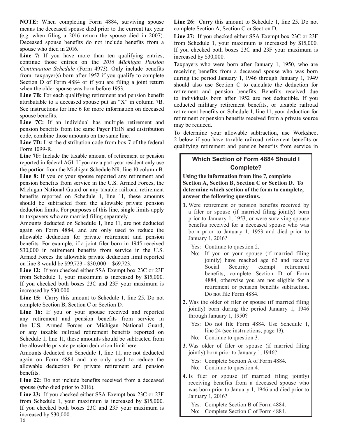**NOTE:** When completing Form 4884, surviving spouse Line 26: Carry this amount to Schedule 1, line 25. Do not means the deceased spouse died prior to the current tax year complete Section A, Section C or Section D. (e.g. when filing a 2016 return the spouse died in 2007). **Line 27:** If you checked either SSA Exempt box 23C or 23F Deceased spouse benefits do not include benefits from a from Schedule 1 your maximum is increased by \$15, Deceased spouse benefits do not include benefits from a from Schedule 1, your maximum is increased by \$15,000.<br>If you checked both boxes 23C and 23F your maximum is

**Line 7:** If you have more than ten qualifying entries, increased by \$30,000.<br>continue those entries on the 2016 Michigan Pension Toypayers who were *Continuation Schedule* (Form 4973). Only include benefits receiving benefits from a deceased spouse who was born<br>from taxpayer(s) born after 1952 if you qualify to complete during the period January 1, 1946 through Januar Section D of Form 4884 or if you are filing a joint return when the older spouse was born before 1953.

attributable to a deceased spouse put an "X" in column 7B.<br>See instructions for line 6 for more information on deceased See instructions for line 6 for more information on deceased retirement benefits on Schedule 1, line 11, your deduction for spouse benefits.

**EXECT EXECT EXECT AND THE SAME CONSTRESS FOLLOWS TO LARGE THE SAME CONSTRESS FOLLOWS SURFERENT AND MANUS SURFERENT AND MANUS SURFERENT AND MANUS SURFERENT AND MANUS SURFERENT AND MANUS SURFERENT AND MANUS SURFERENT AND MA** 

**Line 7D:** List the distribution code from box 7 of the federal <br>
Form 1099-R.<br>
Form 1099-R.

**Line 7F:** Include the taxable amount of retirement or pension reported in federal AGI. If you are a part-year resident only use **Which Section of Form 4884 Should I channel in the Michigan Schedule NP** line 10 column B the portion from the Michigan Schedule NR, line 10 column B. **Line 8:** If you or your spouse reported any retirement and **Using the information from line 7, complete** pension benefits from service in the U.S. Armed Forces, the **Section A, Section B, Section C or Section D. To**  Michigan National Guard or any taxable railroad retirement **determine which section of the form to complete,** benefits reported on Schedule 1, line 11, these amounts **answer the following questions.** <br>should be subtracted from the allowable private pension **a 1** Were retirement or pension b should be subtracted from the allowable private pension<br>deduction limits. For purposes of this line, single limits apply<br>to taxpayers who are married filing separately.

Amounts deducted on Schedule 1, line 11, are not deducted benefits received for a deceased spouse who was again on Form 4884, and are only used to reduce the born prior to January 1, 1953 and died prior to allowable deduction for private retirement and pension<br>benefits. For example, if a joint filer born in 1945 received Sales and received<br>
Sales and received<br>
Sales and received<br>
Sales and received<br>
Sales and received<br>
Sales and received<br>
Sales and received<br>
Sales and received<br>
Sales and received<br>
Sales and received<br>
Sales and receive<br>
Sal

**Line 15:** Carry this amount to Schedule 1, line 25. Do not

or any taxable railroad retirement benefits reported on line 24 (see instructions, page 13). Line 16: If you or your spouse received and reported  $\frac{1}{2}$  long Jonny born during the through January 1, 1950? any retirement and pension benefits from service in the U.S. Armed Forces or Michigan National Guard,<br>
or any taxable railroad retirement benefits reported on line 24 (see instructions, page 13). Schedule 1, line 11, these amounts should be subtracted from No: Continue to question 3. the allowable private pension deduction limit here. **3.** Was older of filer or spouse (if married filing

Amounts deducted on Schedule 1, line 11, are not deducted iointly) born prior to January 1, 1946? again on Form 4884 and are only used to reduce the Yes: Complete Section A of Form 4884.<br>allowable deduction for private retirement and pension No: Continue to question 4. allowable deduction for private retirement and pension benefits.

**Line 23:** If you checked either SSA Exempt box 23C or 23F January 1, 2016?<br> **IDENTIFY** January 1, 2016? From Schedule 1, your maximum is increased by \$15,000. Yes: Complete Section B of Form 4884. If you checked both boxes 23C and 23F your maximum is No: Complete Section C of Form 4884.

If you checked both boxes  $23C$  and  $23F$  your maximum is

Taxpayers who were born after January 1, 1950, who are during the period January 1, 1946 through January 1, 1949 should also use Section C to calculate the deduction for when the older spouse was born before 1953.<br>Line 7B: For each qualifying retirement and pension benefit the individuals have after 1052 are not deductible. If you to individuals born after 1952 are not deductible. If you see instructions for the 0 for more information on deceased<br>spouse benefits on Schedule 1, line 11, your deduction for<br>**Line 7C:** If an individual has multiple retirement and<br>may be reduced may be reduced.

Line 7D: List the distribution code from box 7 of the federal 2 below if you have taxable railroad retirement benefits or

- on line 8 would be \$99,723 \$30,000 = \$69,723.<br> **Line 12:** If you checked either SSA Exempt box 23C or 23F<br>
from Schedule 1, your maximum is increased by \$15,000.<br>
If you checked both boxes 23C and 23F your maximum is<br>
in
- **2.** Was the older of filer or spouse (if married filing complete Section B, Section C or Section D.<br> **2.** Was the older of filer or spouse (if married filing interval in the period January 1, 1946

- 
- 

**Line 22:** Do not include benefits received from a deceased **a**<br>spouse (who died prior to 2016). was born prior to January 1, 1946 and died prior to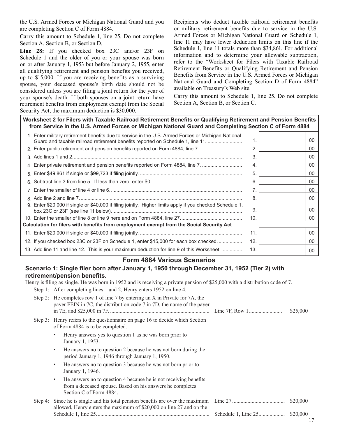the U.S. Armed Forces or Michigan National Guard and you are completing Section C of Form 4884.

Carry this amount to Schedule 1, line 25. Do not complete Section A, Section B, or Section D.

f you checked box 23C and/or 23F on Schedule 1 and the older of you or your spouse was born<br>on or after January 1, 1953 but before January 2, 1955, enter all qualifying retirement and pension benefits you received, an quantying retrement and pension benefits you received,<br>up to \$15,000. If you are receiving benefits as a surviving spouse, your deceased spouse's birth date should not be<br>considered unless you are filing a joint return for the year of available on Treasury's Web site. considered unless you are filing a joint return for the year of your spouse's death. If both spouses on a joint return have retirement benefits from employment exempt from the Social Security Act, the maximum deduction is \$30,000.

 Recipients who deduct taxable railroad retirement benefits or military retirement benefits due to service in the U.S. Armed Forces or Michigan National Guard on Schedule 1, line 11 may have lower deduction limits on this line if the Schedule 1, line 11 totals more than \$34,861. For additional refer to the "Worksheet for Filers with Taxable Railroad Retirement Benefits or Qualifying Retirement and Pension

 Carry this amount to Schedule 1, line 25. Do not complete Section A, Section B, or Section C.

**Worksheet 2 for Filers with Taxable Railroad Retirement Benefits or Qualifying Retirement and Pension Benefits from Service in the U.S. Armed Forces or Michigan National Guard and Completing Section C of Form 4884** 

| 1. Enter military retirement benefits due to service in the U.S. Armed Forces or Michigan National<br>Guard and taxable railroad retirement benefits reported on Schedule 1, line 11. | 1.  | 00 |
|---------------------------------------------------------------------------------------------------------------------------------------------------------------------------------------|-----|----|
| 2. Enter public retirement and pension benefits reported on Form 4884, line 7                                                                                                         | 2.  | 00 |
|                                                                                                                                                                                       | 3.  | 00 |
| 4. Enter private retirement and pension benefits reported on Form 4884, line 7.                                                                                                       | 4.  | 00 |
|                                                                                                                                                                                       | 5   | 00 |
|                                                                                                                                                                                       | 6.  | 00 |
|                                                                                                                                                                                       | 7.  | 00 |
|                                                                                                                                                                                       | 8   | 00 |
| 9. Enter \$20,000 if single or \$40,000 if filing jointly. Higher limits apply if you checked Schedule 1,                                                                             | 9.  | 00 |
|                                                                                                                                                                                       | 10. | 00 |
| Calculation for filers with benefits from employment exempt from the Social Security Act                                                                                              |     |    |
|                                                                                                                                                                                       | 11  | 00 |
| 12. If you checked box 23C or 23F on Schedule 1, enter \$15,000 for each box checked                                                                                                  | 12. | 00 |
| 13. Add line 11 and line 12. This is your maximum deduction for line 9 of this Worksheet                                                                                              | 13. | 00 |

### **Form 4884 Various Scenarios**

### **Scenario 1: Single filer born after January 1, 1950 through December 31, 1952 (Tier 2) with retirement/pension benefits.**

Henry is filing as single. He was born in 1952 and is receiving a private pension of \$25,000 with a distribution code of 7. Step 1: After completing lines 1 and 2, Henry enters 1952 on line 4.

| Step 2: He completes row 1 of line 7 by entering an X in Private for 7A, the<br>payer FEIN in 7C, the distribution code 7 in 7D, the name of the payer                | \$25,000 |
|-----------------------------------------------------------------------------------------------------------------------------------------------------------------------|----------|
| Step 3: Henry refers to the questionnaire on page 16 to decide which Section<br>of Form 4884 is to be completed.                                                      |          |
| Henry answers yes to question 1 as he was born prior to<br>٠<br>January 1, 1953.                                                                                      |          |
| He answers no to question 2 because he was not born during the<br>$\bullet$<br>period January 1, 1946 through January 1, 1950.                                        |          |
| He answers no to question 3 because he was not born prior to<br>$\bullet$<br>January 1, 1946.                                                                         |          |
| He answers no to question 4 because he is not receiving benefits<br>$\bullet$<br>from a deceased spouse. Based on his answers he completes<br>Section C of Form 4884. |          |
| allowed, Henry enters the maximum of \$20,000 on line 27 and on the                                                                                                   | \$20,000 |
|                                                                                                                                                                       | \$20,000 |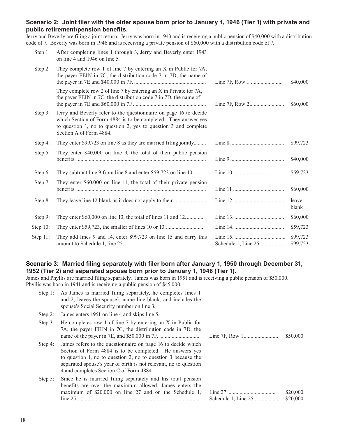### **Scenario 2: Joint filer with the older spouse born prior to January 1, 1946 (Tier 1) with private and public retirement/pension benefits.**

Jerry and Beverly are filing a joint return. Jerry was born in 1943 and is receiving a public pension of \$40,000 with a distribution code of 7. Beverly was born in 1946 and is receiving a private pension of \$60,000 with a distribution code of 7.

| Step 1:     | After completing lines 1 through 3, Jerry and Beverly enter 1943<br>on line 4 and 1946 on line 5.                                                                                                                                 |                      |
|-------------|-----------------------------------------------------------------------------------------------------------------------------------------------------------------------------------------------------------------------------------|----------------------|
| Step 2:     | They complete row 1 of line 7 by entering an X in Public for 7A,<br>the payer FEIN in 7C, the distribution code 7 in 7D, the name of                                                                                              | \$40,000             |
|             | They complete row 2 of line 7 by entering an X in Private for 7A,<br>the payer FEIN in 7C, the distribution code 7 in 7D, the name of                                                                                             | \$60,000             |
| Step $3$ :  | Jerry and Beverly refer to the questionnaire on page 16 to decide<br>which Section of Form 4884 is to be completed. They answer yes<br>to question 1, no to question 2, yes to question 3 and complete<br>Section A of Form 4884. |                      |
| Step 4:     | They enter \$99,723 on line 8 as they are married filing jointly                                                                                                                                                                  | \$99,723             |
| Step $5$ :  | They enter \$40,000 on line 9, the total of their public pension                                                                                                                                                                  | \$40,000             |
| Step 6:     | They subtract line 9 from line 8 and enter \$59,723 on line 10                                                                                                                                                                    | \$59,723             |
| Step 7:     | They enter \$60,000 on line 11, the total of their private pension                                                                                                                                                                | \$60,000             |
| Step 8:     |                                                                                                                                                                                                                                   | leave<br>blank       |
| Step 9:     | They enter \$60,000 on line 13, the total of lines 11 and 12                                                                                                                                                                      | \$60,000             |
| Step $10$ : |                                                                                                                                                                                                                                   | \$59,723             |
| Step 11:    | They add lines 9 and 14, enter \$99,723 on line 15 and carry this<br>amount to Schedule 1, line 25.                                                                                                                               | \$99,723<br>\$99,723 |

### **Scenario 3: Married filing separately with filer born after January 1, 1950 through December 31, 1952 (Tier 2) and separated spouse born prior to January 1, 1946 (Tier 1).**

James and Phyllis are married filing separately. James was born in 1951 and is receiving a public pension of \$50,000. Phyllis was born in 1941 and is receiving a public pension of \$45,000.

| Step 1:    | As James is married filing separately, he completes lines 1<br>and 2, leaves the spouse's name line blank, and includes the<br>spouse's Social Security number on line 3.                                                                                                                               |                      |
|------------|---------------------------------------------------------------------------------------------------------------------------------------------------------------------------------------------------------------------------------------------------------------------------------------------------------|----------------------|
| Step 2:    | James enters 1951 on line 4 and skips line 5.                                                                                                                                                                                                                                                           |                      |
| Step $3$ : | He completes row 1 of line 7 by entering an $X$ in Public for<br>7A, the payer FEIN in 7C, the distribution code in 7D, the                                                                                                                                                                             | \$50,000             |
| Step 4:    | James refers to the questionnaire on page 16 to decide which<br>Section of Form 4884 is to be completed. He answers yes<br>to question 1, no to question 2, no to question 3 because the<br>separated spouse's year of birth is not relevant, no to question<br>4 and completes Section C of Form 4884. |                      |
| Step $5$ : | Since he is married filing separately and his total pension<br>benefits are over the maximum allowed, James enters the<br>maximum of \$20,000 on line 27 and on the Schedule 1,                                                                                                                         | \$20,000<br>\$20,000 |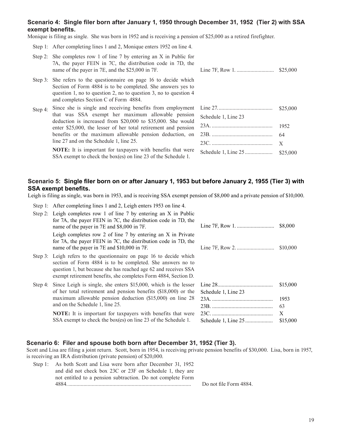### **Scenario 4: Single filer born after January 1, 1950 through December 31, 1952 (Tier 2) with SSA exempt benefits.**

Monique is filing as single. She was born in 1952 and is receiving a pension of  $$25,000$  as a retired firefighter.

Step 1: After completing lines 1 and 2, Monique enters 1952 on line 4.

|         | Step 2: She completes row 1 of line 7 by entering an $X$ in Public for<br>7A, the payer FEIN in 7C, the distribution code in 7D, the<br>name of the payer in 7E, and the \$25,000 in 7F.                                                       |                     |              |
|---------|------------------------------------------------------------------------------------------------------------------------------------------------------------------------------------------------------------------------------------------------|---------------------|--------------|
|         | Step 3: She refers to the questionnaire on page 16 to decide which<br>Section of Form 4884 is to be completed. She answers yes to<br>question 1, no to question 2, no to question 3, no to question 4<br>and completes Section C of Form 4884. |                     |              |
| Step 4: | Since she is single and receiving benefits from employment<br>that was SSA exempt her maximum allowable pension<br>deduction is increased from $$20,000$ to $$35,000$ . She would                                                              | Schedule 1, Line 23 | \$25,000     |
|         | enter \$25,000, the lesser of her total retirement and pension                                                                                                                                                                                 |                     | 1952         |
|         | benefits or the maximum allowable pension deduction, on                                                                                                                                                                                        |                     | 64           |
|         | line 27 and on the Schedule 1, line 25.                                                                                                                                                                                                        |                     | $\mathbf{X}$ |
|         | <b>NOTE:</b> It is important for taxpayers with benefits that were                                                                                                                                                                             | Schedule 1 Line 25  | -825.000     |

**NOTE:** It is important for taxpayers with benefits that were Schedule 1, Line 25.................... \$25,000 SSA exempt to check the box(es) on line <sup>23</sup> of the Schedule 1.

### **Scenario 5: Single filer born on or after January 1, 1953 but before January 2, 1955 (Tier 3) with SSA exempt benefits.**

Leigh is filing as single, was born in 1953, and is receiving SSA exempt pension of \$8,000 and a private pension of \$10,000.

| Step 1: After completing lines 1 and 2, Leigh enters 1953 on line 4.                                                                                                                                  |          |
|-------------------------------------------------------------------------------------------------------------------------------------------------------------------------------------------------------|----------|
| Step 2: Leigh completes row 1 of line 7 by entering an X in Public<br>for 7A, the payer FEIN in 7C, the distribution code in 7D, the<br>name of the payer in 7E and \$8,000 in 7F.                    | \$8,000  |
| Leigh completes row 2 of line 7 by entering an X in Private<br>for 7A, the payer FEIN in 7C, the distribution code in 7D, the<br>name of the payer in 7E and \$10,000 in 7F.                          | \$10,000 |
| Step 3: Leigh refers to the questionnaire on page 16 to decide which<br>section of Form 4884 is to be completed. She answers no to<br>question 1, but because she has reached age 62 and receives SSA |          |

Step 4: Since Leigh is single, she enters  $$15,000$ , which is the lesser of her total retirement and pension benefits  $(\$18,000)$  or the maximum allowable pension deduction (\$15,000) on line 28 and on the Schedule 1, line 25.

> **NOTE:** It is important for taxpayers with benefits that were SSA exempt to check the box(es) on line 23 of the Schedule 1. Schedule 1, Line 25.................... \$15,000

exempt retirement benefits, she completes Form 4884, Section D.

|                     | \$10,000 |
|---------------------|----------|
|                     | \$15,000 |
| Schedule 1, Line 23 | 1953     |
|                     | 63       |
|                     | X        |
| Schedule 1 I ine 25 | \$15.000 |

### **Scenario 6: Filer and spouse both born after December 31, 1952 (Tier 3).**

Scott and Lisa are filing a joint return. Scott, born in 1954, is receiving private pension benefits of \$30,000. Lisa, born in 1957, is receiving an IRA distribution (private pension) of \$20,000.

| Step 1: As both Scott and Lisa were born after December 31, 1952 |                        |
|------------------------------------------------------------------|------------------------|
| and did not check box 23C or 23F on Schedule 1, they are         |                        |
| not entitled to a pension subtraction. Do not complete Form      |                        |
| 4884                                                             | Do not file Form 4884. |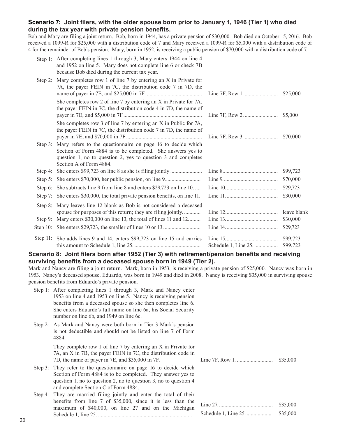### **Scenario 7: Joint filers, with the older spouse born prior to January 1, 1946 (Tier 1) who died during the tax year with private pension benefits.**

Bob and Mary are filing a joint return. Bob, born in 1944, has a private pension of \$30,000. Bob died on October 15, 2016. Bob received a 1099-R for \$25,000 with a distribution code of 7 and Mary received a 1099-R for \$5,000 with a distribution code of 4 for the remainder of Bob's pension. Mary, born in 1952, is receiving a public pension of \$70,000 with a distribution code of 7. 

|            | Step 1: After completing lines 1 through 3, Mary enters 1944 on line 4<br>and 1952 on line 5. Mary does not complete line 6 or check 7B<br>because Bob died during the current tax year.                               |                      |
|------------|------------------------------------------------------------------------------------------------------------------------------------------------------------------------------------------------------------------------|----------------------|
| Step 2:    | Mary completes row 1 of line 7 by entering an X in Private for<br>7A, the payer FEIN in 7C, the distribution code 7 in 7D, the                                                                                         | \$25,000             |
|            | She completes row 2 of line 7 by entering an X in Private for 7A,<br>the payer FEIN in 7C, the distribution code 4 in 7D, the name of                                                                                  | \$5,000              |
|            | She completes row 3 of line 7 by entering an X in Public for 7A,<br>the payer FEIN in 7C, the distribution code 7 in 7D, the name of                                                                                   | \$70,000             |
| Step $3$ : | Mary refers to the questionnaire on page 16 to decide which<br>Section of Form 4884 is to be completed. She answers yes to<br>question 1, no to question 2, yes to question 3 and completes<br>Section A of Form 4884. |                      |
| Step 4:    |                                                                                                                                                                                                                        | \$99,723             |
|            |                                                                                                                                                                                                                        | \$70,000             |
|            | Step 6: She subtracts line 9 from line 8 and enters \$29,723 on line 10                                                                                                                                                | \$29,723             |
|            | Step 7: She enters \$30,000, the total private pension benefits, on line 11.                                                                                                                                           | \$30,000             |
| Step $8$ : | Mary leaves line 12 blank as Bob is not considered a deceased<br>spouse for purposes of this return; they are filing jointly                                                                                           | leave blank          |
| Step $9$ : | Mary enters \$30,000 on line 13, the total of lines 11 and 12                                                                                                                                                          | \$30,000             |
|            |                                                                                                                                                                                                                        | \$29,723             |
|            | Step 11: She adds lines 9 and 14, enters \$99,723 on line 15 and carries                                                                                                                                               | \$99,723<br>\$99,723 |

**Scenario 8: Joint filers born after 1952 (Tier 3) with retirement/pension benefits and receiving surviving benefits from a deceased spouse born in 1949 (Tier 2).** 

Mark and Nancy are filing a joint return. Mark, born in 1953, is receiving a private pension of \$25,000. Nancy was born in 1953. Nancy's deceased spouse, Eduardo, was born in 1949 and died in 2008. Nancy is receiving \$35,000 in surviving spouse pension benefits from Eduardo's private pension.

- Step 1: After completing lines 1 through 3, Mark and Nancy enter 1953 on line 4 and 1953 on line 5. Nancy is receiving pension benefits from a deceased spouse so she then completes line 6. She enters Eduardo's full name on line 6a, his Social Security number on line 6b, and 1949 on line 6c.
- Step 2: As Mark and Nancy were both born in Tier 3 Mark's pension is not deductible and should not be listed on line 7 of Form 4884.

They complete row 1 of line 7 by entering an X in Private for 7A, an X in 7B, the payer FEIN in 7C, the distribution code in 7D, the name of payer in 7E, and \$35,000 in 7F. Line 7F, Row 1. .......................... \$35,000

- Step 3: They refer to the questionnaire on page 16 to decide which Section of Form 4884 is to be completed. They answer yes to question 1, no to question 2, no to question 3, no to question 4 and complete Section C of Form 4884.
- Step 4: They are married filing jointly and enter the total of their benefits from line 7 of \$35,000, since it is less than the maximum of \$40,000, on line 27 and on the Michigan Schedule 1, line 25. .................................................................... Schedule 1, Line 25................... \$35,000

| \$35,000 |
|----------|
| \$35,000 |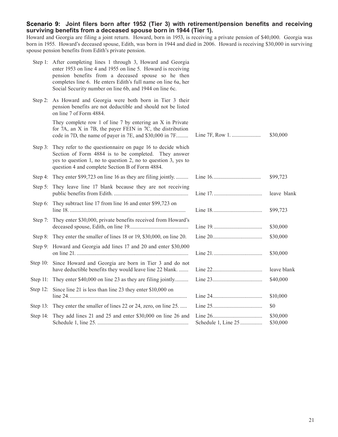### **Scenario 9: Joint filers born after 1952 (Tier 3) with retirement/pension benefits and receiving surviving benefits from a deceased spouse born in 1944 (Tier 1).**

Howard and Georgia are filing a joint return. Howard, born in 1953, is receiving a private pension of \$40,000. Georgia was born in 1955. Howard's deceased spouse, Edith, was born in 1944 and died in 2006. Howard is receiving \$30,000 in surviving spouse pension benefits from Edith's private pension.

|           | Step 1: After completing lines 1 through 3, Howard and Georgia<br>enter 1953 on line 4 and 1955 on line 5. Howard is receiving<br>pension benefits from a deceased spouse so he then<br>completes line 6. He enters Edith's full name on line 6a, her<br>Social Security number on line 6b, and 1944 on line 6c. |                     |                      |
|-----------|------------------------------------------------------------------------------------------------------------------------------------------------------------------------------------------------------------------------------------------------------------------------------------------------------------------|---------------------|----------------------|
|           | Step 2: As Howard and Georgia were both born in Tier 3 their<br>pension benefits are not deductible and should not be listed<br>on line 7 of Form 4884.                                                                                                                                                          |                     |                      |
|           | They complete row 1 of line 7 by entering an X in Private<br>for 7A, an X in 7B, the payer FEIN in 7C, the distribution<br>code in 7D, the name of payer in 7E, and \$30,000 in 7F                                                                                                                               |                     | \$30,000             |
| Step 3:   | They refer to the questionnaire on page 16 to decide which<br>Section of Form 4884 is to be completed. They answer<br>yes to question 1, no to question 2, no to question 3, yes to<br>question 4 and complete Section B of Form 4884.                                                                           |                     |                      |
|           | Step 4: They enter \$99,723 on line 16 as they are filing jointly                                                                                                                                                                                                                                                |                     | \$99,723             |
|           | Step 5: They leave line 17 blank because they are not receiving                                                                                                                                                                                                                                                  |                     | leave blank          |
|           | Step 6: They subtract line 17 from line 16 and enter \$99,723 on                                                                                                                                                                                                                                                 |                     | \$99,723             |
| Step $7:$ | They enter \$30,000, private benefits received from Howard's                                                                                                                                                                                                                                                     |                     | \$30,000             |
|           | Step 8: They enter the smaller of lines 18 or 19, \$30,000, on line 20.                                                                                                                                                                                                                                          |                     | \$30,000             |
|           | Step 9: Howard and Georgia add lines 17 and 20 and enter \$30,000                                                                                                                                                                                                                                                |                     | \$30,000             |
|           | Step 10: Since Howard and Georgia are born in Tier 3 and do not<br>have deductible benefits they would leave line 22 blank                                                                                                                                                                                       |                     | leave blank          |
|           | Step 11: They enter \$40,000 on line 23 as they are filing jointly                                                                                                                                                                                                                                               |                     | \$40,000             |
|           | Step 12: Since line 21 is less than line 23 they enter \$10,000 on                                                                                                                                                                                                                                               |                     | \$10,000             |
|           | Step 13: They enter the smaller of lines 22 or 24, zero, on line 25.                                                                                                                                                                                                                                             |                     | \$0                  |
|           | Step 14: They add lines 21 and 25 and enter \$30,000 on line 26 and                                                                                                                                                                                                                                              | Schedule 1, Line 25 | \$30,000<br>\$30,000 |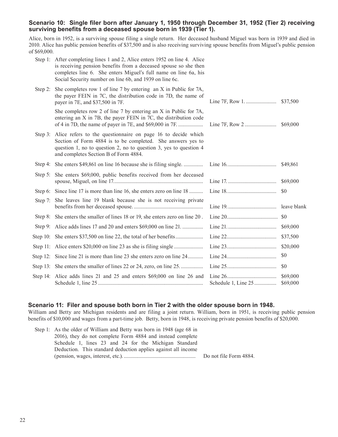### **Scenario 10: Single filer born after January 1, 1950 through December 31, 1952 (Tier 2) receiving surviving benefits from a deceased spouse born in 1939 (Tier 1).**

Alice, born in 1952, is a surviving spouse filing a single return. Her deceased husband Miguel was born in 1939 and died in 2010. Alice has public pension benefits of \$37,500 and is also receiving surviving spouse benefits from Miguel's public pension of \$69,000.

|            | Step 1: After completing lines 1 and 2, Alice enters 1952 on line 4. Alice<br>is receiving pension benefits from a deceased spouse so she then<br>completes line 6. She enters Miguel's full name on line 6a, his<br>Social Security number on line 6b, and 1939 on line 6c. |             |
|------------|------------------------------------------------------------------------------------------------------------------------------------------------------------------------------------------------------------------------------------------------------------------------------|-------------|
| Step 2:    | She completes row 1 of line 7 by entering an X in Public for 7A,<br>the payer FEIN in 7C, the distribution code in 7D, the name of<br>payer in 7E, and \$37,500 in 7F.                                                                                                       |             |
|            | She completes row 2 of line 7 by entering an X in Public for 7A,<br>entering an X in 7B, the payer FEIN in 7C, the distribution code                                                                                                                                         | \$69,000    |
| Step $3$ : | Alice refers to the questionnaire on page 16 to decide which<br>Section of Form 4884 is to be completed. She answers yes to<br>question 1, no to question 2, no to question 3, yes to question 4<br>and completes Section B of Form 4884.                                    |             |
|            | Step 4: She enters \$49,861 on line 16 because she is filing single                                                                                                                                                                                                          | \$49,861    |
|            | Step 5: She enters \$69,000, public benefits received from her deceased                                                                                                                                                                                                      | \$69,000    |
|            | Step 6: Since line 17 is more than line 16, she enters zero on line 18                                                                                                                                                                                                       | \$0         |
|            | Step 7: She leaves line 19 blank because she is not receiving private                                                                                                                                                                                                        | leave blank |
|            | Step 8: She enters the smaller of lines 18 or 19, she enters zero on line 20.                                                                                                                                                                                                |             |
|            | Step 9: Alice adds lines 17 and 20 and enters \$69,000 on line 21                                                                                                                                                                                                            | \$69,000    |
|            |                                                                                                                                                                                                                                                                              | \$37,500    |
|            |                                                                                                                                                                                                                                                                              | \$20,000    |
|            | Step 12: Since line 21 is more than line 23 she enters zero on line 24                                                                                                                                                                                                       | \$0         |
|            | Step 13: She enters the smaller of lines 22 or 24, zero, on line 25.                                                                                                                                                                                                         | \$0         |
|            | Step 14: Alice adds lines 21 and 25 and enters \$69,000 on line 26 and                                                                                                                                                                                                       | \$69,000    |

### **Scenario 11: Filer and spouse both born in Tier 2 with the older spouse born in 1948.**

William and Betty are Michigan residents and are filing a joint return. William, born in 1951, is receiving public pension benefits of \$10,000 and wages from a part-time job. Betty, born in 1948, is receiving private pension benefits of \$20,000.

| Step 1: As the older of William and Betty was born in 1948 (age 68 in |                        |
|-----------------------------------------------------------------------|------------------------|
| 2016), they do not complete Form 4884 and instead complete            |                        |
| Schedule 1, lines 23 and 24 for the Michigan Standard                 |                        |
| Deduction. This standard deduction applies against all income         |                        |
|                                                                       | Do not file Form 4884. |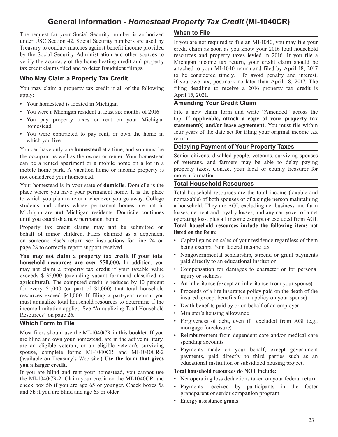### **General Information -** *Homestead Property Tax Credit* **(MI-1040CR)**

The request for your Social Security number is authorized **When to File**  under USC Section 42. Social Security numbers are used by If you are not required to file an MI-1040, you may file your<br>Treasury to conduct matches against benefit income provided credit claim as soon as you know your 2016 Treasury to conduct matches against benefit income provided credit claim as soon as you know your 2016 total household<br>by the Social Security Administration and other sources to resources and property taxes levied in 2016. by the Social Security Administration and other sources to resources and property taxes levied in 2016. If you file a verify the accuracy of the home heating credit and property Michigan income tax return, your credit clai verify the accuracy of the home heating credit and property Michigan income tax return, your credit claim should be tax credit claims filed and to deter fraudulent filings.<br>
attached to your MI-1040 return and filed by Apr

apply: April 15, 2021.

- Your homestead is located in Michigan **Amending Your Credit Claim**
- 
- You pay property taxes or rent on your Michigan
- You were contracted to pay rent, or own the home in the during vector  $\frac{1}{\pi}$ which you live.<br>
w and how that a fine and support the set of the **Delaying Payment of Your Property Taxes**

You can have only one **homestead** at a time, and you must be<br>the occupant as well as the owner or renter. Your homestead Senior citizens, disabled people, veterans, surviving spouses the occupant as well as the owner or renter. Your homestead Senior citizens, disabled people, veterans, surviving spouses can be a rented apartment or a mobile home on a lot in a of veterans, and farmers may be able to del can be a rented apartment or a mobile home on a lot in a of veterans, and farmers may be able to delay paying<br>mobile home park A vacation home or income property is property taxes. Contact your local or county treasurer fo mobile home park. A vacation home or income property is property taxes. Contact considered your homestead not considered your homestead.

Your homestead is in your state of **domicile**. Domicile is the **Total Household Resources** place where you have your permanent home. It is the place Total household resources are the place where you have your permanent home. It is the place Total household resources are the total income (taxable and to which you plan to return whenever you go away. College nontaxable) of both spouses or of a single per to which you plan to return whenever you go away. College nontaxable) of both spouses or of a single person maintaining<br>students and others whose permanent homes are not in a household. They are AGI, excluding net business students and others whose permanent homes are not in a household. They are AGI, excluding net business and farm<br>Michigan are **not** Michigan residents. Domicile continues losses, net rent and royalty losses, and any carryov Michigan are **not** Michigan residents. Domicile continues losses, net rent and royalty losses, and any carryover of a net until you establish a new permanent home.<br>
operating loss, plus all income exempt or excluded from A

is someone else's return see instructions for line 24 on behalf of minor children. Filers claimed as a dependent page 28 to correctly report support received. being exempt from federal income tax

**household resources are over \$50,000.** In addition, you may not claim a property tax credit if your taxable value • Compensation for damages to character or for personal exceeds \$135,000 (excluding vacant farmland classified as injury or sickness agricultural). The computed credit is reduced by 10 percent • An inheritance (except an inheritance from your spouse) for every \$1,000 (or part of \$1,000) that total household • Proceeds of a life insurance policy paid on for every \$1,000 (or part of \$1,000) that total household • Proceeds of a life insurance policy paid on the death of the resources exceed \$41,000. If filing a part-year return, you resources exceed \$41,000. If filing a part-year return, you<br>must annualize total household resources to determine if the<br>insured (except benefits from a policy on your spouse)<br>insured in employer income limitation applies. See "Annualizing Total Household Resources" on page 26.  $\blacksquare$ 

Most filers should use the MI-1040CR in this booklet. If you • Reimbursement from dependent care and/or medical care are blind and own your homestead, are in the active military, spending accounts are an eligible veteran, or an eligible veteran's surviving spouse, complete forms MI-1040CR and MI-1040CR-2 Payments made on your behalf, except government<br>(available on Treasury's Wob site). Use the form that gives payments, paid directly to third parties such as an (available on Treasury's Web site.) Use the form that gives educational institution or subsidized housing project.<br> **ou a larger credit.**<br>
If you are blind and rent your homestead you cannot use **Total household resources do NOT include:** 

If you are blind and rent your homestead, you cannot use the MI-1040CR-2. Claim your credit on the MI-1040CR and • Net operating loss deductions taken on your federal return<br>check box 5b if you are age 65 or younger. Check boxes 5a • Payments received by participants in the fost check box 5b if you are age 65 or younger. Check boxes 5a • Payments received by participants in the foster and 5b if you are blind and age 65 or older.

attached to your MI-1040 return and filed by April 18, 2017 **The May Claim a Property Tax Credit** is to be considered timely. To avoid penalty and interest, if you owe tax, postmark no later than April 18, 2017. The filing deadline to receive a 2016 property tax credit is filing deadline to receive a 2016 property tax credit is

• You were a Michigan resident at least six months of 2016 File a new claim form and write "Amended" across the<br>• You nav property taxes or rent on your Michigan top. If applicable, attach a copy of your property tax homestead<br> **statement(s) and/or lease agreement.** You must file within<br>
You were contracted to pay rent, or own the home in four years of the date set for filing your original income tax

operating loss, plus all income exempt or excluded from AGI. Property tax credit claims may **not** be submitted on **Total household resources include the following items not** behalf of minor children. Filers claimed as a dependent **listed on the form:** 

- Capital gains on sales of your residence regardless of them
- **You may not claim a property tax credit if your total** Nongovernmental scholarship, stipend or grant payments household resources are over \$50,000. In addition you paid directly to an educational institution
	-
	-
	-
	-
	-
- **Which Form to File** Forgiveness of debt, even if excluded from AGI (e.g., mortgage foreclosure)
	-
	-

- 
- grand parent or senior companion program
- Energy assistance grants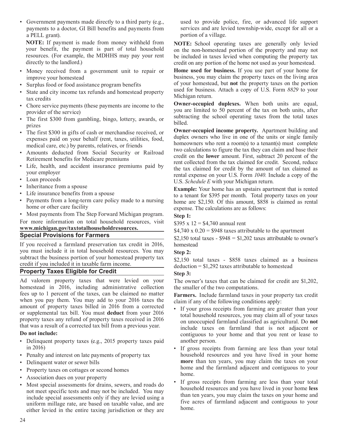• Government payments made directly to a third party (e.g., used to provide police, fire, or advanced life support a PELL grant). portion of a village. 

**NOTE:** If payment is made from money withheld from **NOTE:** School operating taxes are generally only levied your benefit, the payment is part of total household on the non-homestead portion of the property and may not

- 
- 
- State and city income tax refunds and homestead property Michigan return.<br>
tax credits<br>
Characteristics nayments (these nayments are income to the **Owner-occupied duplexes.** When both units are equal,
- Chore service payments (these payments are income to the **Owner-occupied duplexes.** When both units are equal, you are limited to 50 percent of the tax on both units, after
- 
- expenses paid on your behalf (rent, taxes, utilities, food, medical care, etc.) by parents, relatives, or friends
- 
- 
- 
- 
- 
- 

• Most payments from The Step Forward Michigan program. **Step 1:** For more information on total household resources, visit  $$395 \times 12 = $4,740$  annual rent<br>www.michigan.gov/taxtotalhouseholdresources.

# **Exercial Provisions for Farmers Exercise 200 and Separates 34,740** x 0.20 = \$948 taxes attributable to the apartment **Special Provisions for Farmers \$2,150** total taxes - \$948 = \$1,202 taxes attributable to owner's

If you received a farmland preservation tax credit in 2016, homestead you must include it in total household resources. You may  $\frac{1}{12}$  Step 2. you must include it in total household resources. You may<br>subtract the business portion of your homestead property tax<br>credit if you included it in taxable farm income.<br>deduction = \$1,292 taxes attributable to homestead

### **Property Taxes Eligible for Credit CLECTER Step 3:** Step 3:

Ad valorem property taxes that were levied on your The owner's taxes that can be claimed for credit are \$1,202, homestead in 2016, including administrative collection the smaller of the two computations. homestead in 2016, including administrative collection fees up to 1 percent of the taxes, can be claimed no matter when you pay them. You may add to your 2016 taxes the claim if any of the following conditions apply: amount of property taxes billed in 2016 from a corrected Figure Theorem is the contenting contained property.<br>The state of the content of the content of the content of the content of the content of the content of the conte or supplemental tax bill. You must **deduct** from your 2016 total household resources, you may claim all of your taxes property taxes received in 2016 on unoccupied farmland classified as agricultural. Do not

- Delinquent property taxes (e.g., 2015 property taxes paid another person.
- Penalty and interest on late payments of property tax
- 
- 
- Association dues on your property
- uniform millage rate, are based on taxable value, and are  $\frac{1}{x}$  if  $\frac{1}{x}$  if  $\frac{1}{x}$  if  $\frac{1}{x}$  if  $\frac{1}{x}$  if  $\frac{1}{x}$  if  $\frac{1}{x}$  if  $\frac{1}{x}$  if  $\frac{1}{x}$  if  $\frac{1}{x}$  if  $\frac{1}{x}$  if  $\frac{1}{x}$  if  $\frac{1}{x$

payments to a doctor, GI Bill benefits and payments from services and are levied township-wide, except for all or a

your benefit, the payment is part of total household on the non-homestead portion of the property and may not resources. (For example, the MDHHS may pay your rent be included in taxes levied when computing the property tax resources. (For example, the MDHHS may pay your rent be included in taxes levied when computing the property tax directly to the landlord.) credit on any portion of the home not used as your homestead. credit on any portion of the home not used as your homestead.

• Money received from a government unit to repair or **Home used for business.** If you use part of your home for improve your homestead<br>
Surnlus food or food assistance program benefits<br>
of your homestead, but **not** the property taxes on the portion<br>
of your homestead, but **not** the property taxes on the portion • Surplus food or food assistance program benefits of your homestead, but **not** the property taxes on the portion<br>• State and city income tax refunds and homestead property used for business. Attach a copy of U.S. Form 882

provider of the service)<br>
• The first \$300 from gambling, bingo, lottery, awards, or<br>
billed.<br>
• The first \$300 from gambling, bingo, lottery, awards, or<br>
billed.

• The first \$300 in gifts of cash or merchandise received, or **Owner-occupied income property.** Apartment building and **•** appropriate the comparation of the units or single family homeowners who rent a room(s) to a tenant(s) must complete two calculations to figure the tax they can claim and base their • Amounts deducted from Social Security or Railroad<br>Retirement benefits for Medicare premiums<br>Life, health, and accident insurance premiums paid by<br>Life, health, and accident insurance premiums paid by<br>the tax claimed for Eine, health, and accident insurance premiums paid by the tax claimed for credit by the amount of tax claimed as your employer your employer<br>
• Loan proceeds<br>
• Loan proceeds<br> **10.5.** Schedule E with your Michigan return.

• Inheritance from a spouse **Example:** Your home has an upstairs apartment that is rented **Example:** Your home has an upstairs apartment that is rented to a tenant for \$305 per month. Total property taxes on your • Life insurance benefits from a spouse to a tenant for \$395 per month. Total property taxes on your<br>• Payments from a long-term care policy made to a nursing home are \$2.150. Of this amount \$858 is claimed as rental Payments from a long-term care policy made to a nursing home are \$2,150. Of this amount, \$858 is claimed as rental home or other care facility expense. The calculations are as follows:

Farmers. Include farmland taxes in your property tax credit

- property taxes any retund of property taxes received in 2016<br>that was a result of a corrected tax bill from a previous year.<br>**Do not include:** the continuous to your home and that you rent or lease to contiguous to your home and that you rent or lease to
- in 2016) If gross receipts from farming are less than your total<br>Penalty and interest on late payments of property tax household resources and you have lived in your home • Delinquent water or sewer bills **more** than ten years, you may claim the taxes on your • Property taxes on cottages or second homes **•** home and the farmland adjacent and contiguous to your home.
- If gross receipts from farming are less than your total • Most special assessments for drains, sewers, and roads do<br>not meet specific tests and may not be included. You may<br>include special assessments only if they are levied using a<br>include special assessments only if they are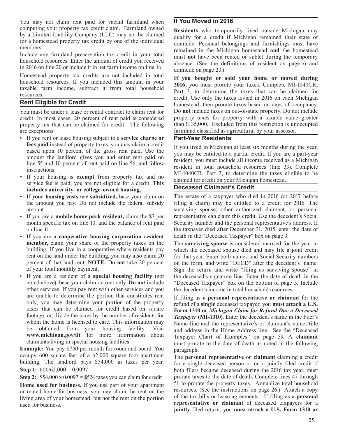You may not claim rent paid for vacant farmland when **If You Moved in 2016** 

credit. In most cases, 20 percent of rent paid is considered property taxes for property with a taxable value greater<br>property tax that can be claimed for credit. The following than \$135,000. Excluded from this restriction property tax that can be claimed for credit. The following are exceptions: farmland classified as agricultural by your assessor.

- If you rent or lease housing subject to a **service charge or Part-Year Residents fees paid** instead of property taxes, you may claim a credit
- Figure **11 your housing is exempt** from property tax and no claimed for credit on your Michigan homestead.<br>Service fee is paid, you are not eligible for a credit. This **Deceased Claimant's Credit** includes university- or college-owned housing.
- 
- 
- • If you are a **cooperative housing corporation resident** death in the "Deceased Taxpayer" box on page 3.
- If you are a resident of a **special housing facility** (not other services. If you pay rent with other services and you the decedent's income in total household resources. are unable to determine the portion that constitutes rent If filing as a **personal representative or claimant** for the only, you may determine your portion of the property related of a single deceased taxpayer you must att

**Example:** You pay \$750 per month for room and board. You paragraph. occupy 600 square feet of a 62,000 square foot apartment<br>building. The landlord pays \$54,000 in taxes per year. for a single deceased person or on a jointly filed credit if

**Home used for business.** If you use part of your apartment 51 to prorate the property taxes. Annualize total household<br>or represent the property of the security of the property taxes. (See the instructions on page 26.) At or rented home for business, you may claim the rent on the resources. (See the instructions on page 26.) Attach a copy<br>living area of your homestead, but not the rent on the portion of the tax bills or lease agreements. If living area of your homestead, but not the rent on the portion used for business. **representative or claimant** of deceased taxpayers for a

computing your property tax credit claim. Farmland owned<br>by a Limited Liability Company (LLC) may not be claimed<br>for a credit if Michigan remained their state of<br>for a homestead property tax credit by one of the individual household resources. Enter the amount of credit you received<br>in 2016 on line 20 or include it in net farm income on line 16.<br>Homestead property tax credits are not included in total<br>Homestead property tax credits are not i

Holliestead property tax credits are not included in total<br>household resources. If you included this amount in your<br>taxable farm income, subtract it from total household<br>resources.<br>Part 3, to determine the taxes that can b **Rent Eligible for Credit Rent Eligible for Credit Rent Eligible for Credit homestead**, then prorate taxes based on days of occupancy. You must be under a lease or rental contract to claim rent for Do **not** include taxes on out-of-state property. Do not include credit. In most cases, 20 percent of rent paid is considered property taxes for property with a

**frees paid** instead of property taxes, you may claim a credit If you lived in Michigan at least six months during the year, based upon 10 percent of the gross rent paid. Use the you may be entitled to a partial credit. If amount the landlord gives you and enter rent paid on<br>line 55 and 10 percent of rent paid on line 56, and follow<br>instructions.<br>If your housing is **exempt** from property tax and no<br>leader to the MI-1040CR, Part 3, to determi

 • If **your housing costs are subsidized,** base your claim on The estate of a taxpayer who died in 2016 (or 2017 before the amount you pay. Do not include the federal subsidy filing a claim) may be entitled to a credit for 2016. The amount. surviving spouse, other authorized claimant, or personal • If you are a **mobile home park resident,** claim the \$3 per representative can claim this credit. Use the decedent's Social month specific tax on line 10, and the balance of rent paid Security number and the personal representative's address. If on line 11. the taxpayer died after December 31, 2015, enter the date of

**member,** claim your share of the property taxes on the The **surviving spouse** is considered married for the year in building. If you live in a cooperative where residents pay which the deceased spouse died and may file a building. If you live in a cooperative where residents pay which the deceased spouse died and may file a joint credit rent on the land under the building, you may also claim 20 for that year. Enter both names and Social Se rent on the land under the building, you may also claim 20 for that year. Enter both names and Social Security numbers percent of that land rent. **NOTE:** Do **not** take 20 percent on the form, and write "DECD" after the dec on the form, and write "DECD" after the decedent's name. of your total monthly payment.<br>If you are a resident of a **special housing facility** (not the deceased's signature line. Enter the date of death in the noted above), base your claim on rent only. **Do not** include "Deceased Taxpayer" box on the bottom of page 3. Include

only, you may determine your portion of the property refund of a **single** deceased taxpayer, you **must attach a U.S.** taxes that can be claimed for credit based on square Form 1310 or Michigan Claim for Refund Due a Deceas taxes that can be claimed for credit based on square<br>footage, or, divide the taxes by the number of residents for<br>whom the home is licensed to care. This information may<br>Name line and the representative's or claimant's nam whom the home is licensed to care. This information may Name line and the representative's or claimant's name, title<br>be obtained from your housing facility. Visit and address in the Home Address line. See the "Deceased be obtained from your housing facility. Visit and address in the Home Address line. See the "Deceased<br>www.michigan.gov/iit for more information about Taxpayer Chart of Examples" on page 50 A claimant **www.michigan.gov/iit** for more information about Taxpayer Chart of Examples" on page 59. A **claimant** claimant claimant claimants are result of the date of death as noted in the following must prorate to the date of death as noted in the following

building. The landlord pays \$54,000 in taxes per year. for a single deceased person or on a jointly filed credit if Step 1: 600/62,000 = 0.0097 both filers became deceased during the 2016 tax year, must both filers became deceased during the 2016 tax year, must **Step 2:** \$54,000 x 0.0097 = \$524 taxes you can claim for credit prorate taxes to the date of death. Complete lines 47 through **Home** used for business If you use part of your apartment 51 to prorate the property taxes. An **jointly** filed return, you **must attach a U.S. Form 1310 or**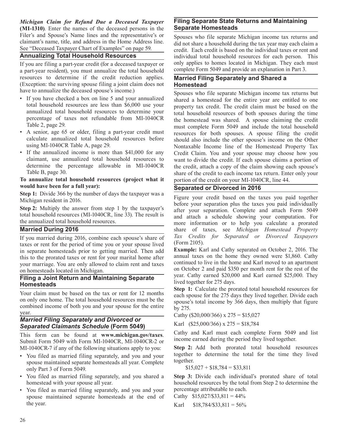*Michigan Claim for Refund Due a Deceased Taxpayer* **Filing Separate State Returns and Maintaining** *(MI-1310)* Enter the names of the deceased persons in the **Separate Homesteads (MI-1310)**. Enter the names of the deceased persons in the Filer's and Spouse's Name lines and the representative's or Spouses who file separate Michigan income tax returns and claimant's name, title, and address in the Home Address line. did not share a household during the tax y

a part-year resident), you must annualize the total household resources to determine if the credit reduction applies. **Married Filing Separately and Shared a**  (Exception: the surviving spouse filing a joint claim does not have to annualize the deceased spouse's income.)

- 
- 
- 

### To annualize total household resources (project what it portion of the credit on your MI-1040CR, line 44. **would have been for a full year):**

**Step 1:** Divide 366 by the number of days the taxpayer was a

**Step 2:** Multiply the answer from step 1 by the taxpayer's after your separation. Complete and attach Form 5049 total household resources (MI-1040CR, line 33). The result is total household resources (MI-1040CR, line 33). The result is the annualized total household resources.

If you married during 2016, combine each spouse's share of *Tax Credits* faves or rent for the period of time you or your spouse lived (Form 2105). taxes or rent for the period of time you or your spouse lived<br>in separate homesteads prior to getting married. Then add<br>**Example:** Karl and Cathy separated on October 2, 2016. The in separate homesteads prior to getting married. Then add **Example:** Karl and Cathy separated on October 2, 2016. The this to the prorated taxes or rent for your marital home after annual taxes on the home they owned were \$1,860. Cathy<br>vour marriage You are only allowed to claim rent and taxes continued to live in the home and Karl moved your marriage. You are only allowed to claim rent and taxes

# lived together for <sup>275</sup> days. **Homesteads**

on only one home. The total household resources must be the spouse's total income by 366 days, then multiply that figure combined income of both you and your spouse for the entire by 275.<br>
Cothy (\$20,000/266) x 275 = \$15,

# year.<br> **Cathy (\$20,000/366) x 275 = \$15,027<br>
Separated Claimants Schedule (Form 5049)** *Karl* (\$25,000/366) x 275 = \$18,784<br>
This form can be found at www.mishigan.gov/toxes *Cathy and Karl must each complete Form 5049 and*

This form can be found at **www.michigan.gov/taxes**. Cathy and Karl must each complete Form 5049<br>Submit Form 5049 with Form MI 1040CB MI 1040CB 2 or Submit Form 5049 with Form MI-1040CR, MI-1040CR-2 or

- You filed as married filing separately, and you and your together to determine the total for the together. spouse maintained separate homesteads all year. Complete only Part 3 of Form 5049.  $$15,027 + $18,784 = $33,811$
- 
- You filed as married filing separately, and you and your spouse maintained separate homesteads at the end of Cathy  $$15,027/\$33,811 = 44\%$ the year.  $Karl \quad $18,784/\$33,811 = 56\%$

claimant's name, title, and address in the Home Address line. did not share a household during the tax year may each claim a<br>See "Deceased Taxpayer Chart of Examples" on page 59. See "Deceased Taxpayer Chart of Examples" on page 59. credit. Each credit is based on the individual taxes or rent and<br>**Annualizing Total Household Resources** individual total household resources for each person. This individual total household resources for each person. This If you are filing a part-year credit (for a deceased taxpayer or only applies to homes located in Michigan. They each must<br>a part-year resident) you must annualize the total household complete Form 5049 and provide an expl

have to annualize the deceased spouse's income.)<br>• If you have checked a box on line 5 and your annualized shared a homestead for the entire year are entitled to one If you have checked a box on line 5 and your annualized shared a homestead for the entire year are entitled to one total household resources are less than \$6,000 use your property tax credit. The credit claim must be based total household resources are less than \$6,000 use your property tax credit. The credit claim must be based on the annualized total household resources to determine your total household resources of both spouses during the annualized total household resources to determine your total household resources of both spouses during the time<br>percentage of taxes not refundable from MI-1040CR the homestead was shared. A spouse claiming the credit percentage of taxes not refundable from MI-1040CR the homestead was shared. A spouse claiming the credit Table 2, page 29. Table 2, page 29.<br>A senior, age 65 or older, filing a part-year credit must resources for both spouses. A spouse filing the credit A senior, age 65 or older, filing a part-year credit must resources for both spouses. A spouse filing the credit calculate annualized total household resources before should also include the other spouse's income on the Ot calculate annualized total household resources before should also include the other spouse's income on the Other using MI-1040CR Table A, page 29. using MI-1040CR Table A, page 29.<br>• If the annualized income is more than \$41,000 for any Credit Claim You and your spouse may choose how you If the annualized income is more than \$41,000 for any Credit Claim. You and your spouse may choose how you claimant, use annualized total household resources to want to divide the credit If each spouse claims a portion of claimant, use annualized total household resources to want to divide the credit. If each spouse claims a portion of determine the percentage allowable in MI-1040CR the credit attach a conv of the claim showing each spouse' determine the percentage allowable in MI-1040CR the credit, attach a copy of the claim showing each spouse's Table B, page 30. share of the credit to each income tax return. Enter only your

### **Separated or Divorced in 2016**

Figure your credit based on the taxes you paid together<br>Michigan resident in 2016.<br>before your separation plus the taxes you paid individually the annualized total household resources.<br> **Married During 2016** more information or to help you calculate a prorated **Married During 2016** share of taxes, see *Michigan Homestead Property* share of taxes, see *Michigan Homestead Property*<br>Tax Credits for Separated or Divorced Taxpayers

on homesteads located in Michigan. on October 2 and paid \$350 per month rent for the rest of the **Filing a Joint Return and Maintaining Separate** year. Cathy earned \$20,000 and Karl earned \$25,000. They

**Step 1:** Calculate the prorated total household resources for Your claim must be based on the tax or rent for 12 months each spouse for the 275 days they lived together. Divide each on only one home. The total household resources must be the spouse's total income by 366 days then mul

MI-1040CR-7 if any of the following situations apply to you: **Step 2:** Add both prorated total household resources<br>• You filed as married filing separately and you and your together to determine the total for the time they

• You filed as married filing separately, and you shared a **Step 3:** Divide each individual's prorated share of total homestead with your spouse all year.<br>
You filed as married filing separately and you and your percentage attributable to each.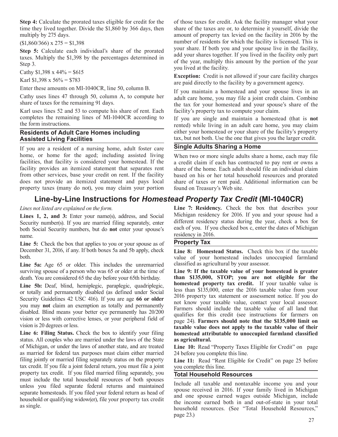**Step 4:** Calculate the prorated taxes eligible for credit for the time they lived together. Divide the \$1,860 by 366 days, then multiply by 275 days.

 $$1,860/366$ ) x  $275 = $1,398$ 

**Step 5:** Calculate each individual's share of the prorated<br>tower shares together. If you lived in the facility only part<br>tower. Multiply the \$1.308 by the percentages determined in **Step 5:** Calculate each individual's share of the prorated  $\frac{1}{2}$  and your shares together. If you lived in the facility only part taxes. Multiply the \$1,398 by the percentages determined in

Enter these amounts on MI-1040CR, line 50, column B.

Cathy uses lines 47 through 50, column A, to compute her share of taxes for the remaining 91 days.

Karl uses lines 52 and 53 to compute his share of rent. Each completes the remaining lines of MI-1040CR according to the form instructions.

If you are a resident of a nursing home, adult foster care **Single Adults Sharing a Home**  home, or home for the aged; including assisted living When two or more single adults share a home, each may file facilities, that facility is considered your homestead. If the a credit claim if each has contracted to pay r facility provides an itemized statement that separates rent share of the home. Each adult should file an individual claim<br>from other services, base your credit on rent. If the facility based on his or her total household r from other services, base your credit on rent. If the facility based on his or her total household resources and prorated does not provide an itemized statement and pays local share of taxes or rent paid. Additional inform property taxes (many do not), you may claim your portion

### **Line-by-Line Instructions for** *Homestead Property Tax Credit* **(MI-1040CR)**

both Social Security numbers, but do **not** enter your spouse's name.<br> **Line 5:** Check the box that applies to you or your spouse as of **Property Tax** 

**Line 5:** Check the box that applies to you or your spouse as of December 31, 2016, if any. If both boxes 5a and 5b apply, check **Line 8: Homestead Status.** Check this box if the taxable both.

**Line 5a:** Age 65 or older. This includes the unremarried surviving spouse of a person who was 65 or older at the time of

Security Guidelines 42 USC 416). If you are age 66 or older<br>you may not claim an exemption as totally and permanently<br>Farmers should include the taxable value of all land that

status. All couples who are married under the laws of the State **as agricultural.**  of Michigan, or under the laws of another state, and are treated Line 10: Read "Property Taxes Eligible for Credit" on page as married for federal tax purposes must claim either married 24 before you complete this line. as married for federal tax purposes must claim either married filing jointly or married filing separately status on the property **Line 11:** Read "Rent Eligible for Credit" on page 25 before tax credit. If you file <sup>a</sup> joint federal return, you must file <sup>a</sup> joint you complete this line. property tax credit. If you filed married filing separately, you **Total Household Resources** must include the total household resources of both spouses must include the total household resources of both spouses<br>unless you filed separate federal returns and maintained<br>spouse received in 2016. If your family lived in Michigan separate homesteads. If you filed your federal return as head of<br>household or qualifying widow(er), file your property tax credit<br>as single.<br>household resources. (See "Total Household Posources"

 of those taxes for credit. Ask the facility manager what your share of the taxes are or, to determine it yourself, divide the amount of property tax levied on the facility in 2016 by the number of residents for which the facility is licensed. This is your share. If both you and your spouse live in the facility, taxes. Multiply the \$1,398 by the percentages determined in<br>Step 3.<br>Step 3.<br>Step 3. Step 3.<br>Cathy \$1,398 x 44% = \$615<br>Cathy \$1,398 x 44% = \$615<br>Cathy \$1,398 x 44% = \$615

Exception: Credit is not allowed if your care facility charges<br>
Karl \$1,398 x 56% = \$783<br>
exception: Credit is not allowed if your care facility charges are paid directly to the facility by <sup>a</sup> government agency.

> If you maintain <sup>a</sup> homestead and your spouse lives in an adult care home, you may file a joint credit claim. Combine the tax for your homestead and your spouse's share of the facility's property tax to compute your claim.

 If you are single and maintain a homestead (that is **not**  rented) while living in an adult care home, you may claim **Residents of Adult Care Homes including** either your homestead or your share of the facility's property tax, but not both. Use the one that gives you the larger credit. tax, but not both. Use the one that gives you the larger credit.

a credit claim if each has contracted to pay rent or owns a share of taxes or rent paid. Additional information can be found on Treasury's Web site.

*Lines not listed are explained on the form.* **Line 7: Residency.** Check the box that describes your<br> **Lines 1. 2. and 3:** Enter your name(s) address and Social Michigan residency for 2016. If you and your spouse had a Lines 1, 2, and 3: Enter your name(s), address, and Social Michigan residency for 2016. If you and your spouse had a<br>Security number(s) If you are married filing separately enter different residency status during the year, Security number(s). If you are married filing separately, enter different residency status during the year, check a box for hoth Social Security numbers but do **not** enter your spouse's each of you. If you checked box c, e

value of your homestead includes unoccupied farmland classified as agricultural by your assessor.

Line 9: If the taxable value of your homestead is greater death. You are considered 65 the day before your 65th birthday. **than \$135,000, STOP; you are not eligible for the lime 5b:** Deaf, blind, hemiplegic, avadriplegic, and **homestead property tax credit.** If your taxable value **homestead property tax credit.** It your taxable value is or totally and permanently disabled (as defined under Social less than \$135,000, enter the 2016 taxable value from your disabled. Blind means your better eye permanently has 20/200<br>vision or less with corrective lenses, or your peripheral field of<br>vision is 20 degrees or less.<br>Line 6: Filing Status. Check the box to identify your filing<br>Lin **Line 6: Filing Status.** Check the box to identify your filing **homestead attributable to unoccupied farmland classified**

household resources. (See "Total Household Resources," page 23.)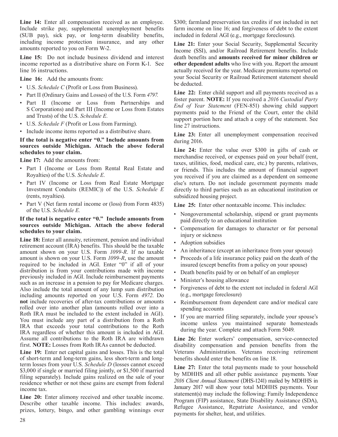Line 14: Enter all compensation received as an employee. \$300; farmland preservation tax credits if not included in net Include strike pay, supplemental unemployment benefits farm income on line 16; and forgiveness of debt to the extent (SUB pay), sick pay, or long-term disability benefits, included in federal AGI (e.g., mortgage foreclosure). including income protection insurance, and any other **Line 21:** Enter your Social Security, Supplemental Security amounts reported to you on Form W-2. Include Income (SSI), and/or Railroad Retirement benefits. Include

Line 15: Do not include business dividend and interest death benefits and **amounts received for minor children or** income reported as a distributive share on Form K-1. See other dependent adults who live with you. Report the amount line 16 instructions. actually received for the year. Medicare premiums reported on

- • U.S. *Schedule C* (Profit or Loss from Business).
- 
- 
- 
- U.S. *Schedule F* (Profit or Loss from Farming). line 27 instructions.<br>• Include income items reported as a distributive share.

# If the total is negative enter "0." Include amounts from during 2016.<br>sources outside Michigan. Attach the above federal

- 
- (rents, royalties). subsidized housing project.
- Part V (Net farm rental income or (loss) from Form 4835) Line 25: Enter other nontaxable income. This includes: of the U.S. *Schedule E.*

Line 18: Enter all annuity, retirement, pension and individual • Adoption subsidies<br>
retirement account (IRA) benefits. This should be the taxable<br>
interitance (except an inheritance from your spouse)<br>
• An inheritance (except an inheritance from your spouse) amount shown on your U.S. Form 1099-R. If no taxable <sup>•</sup> An inheritance (except an inheritance from your spouse)<br>amount is shown on your U.S. Form 1099-R, use the amount • Proceeds of a life insurance policy paid on the de amount is shown on your U.S. Form  $1099-R$ , use the amount required to be included in AGI. Enter "0" if all of your insured (except benefits from a policy on your spouse) distribution is from your contributions made with income distribution is from your contributions made with income<br>previously included in AGI. Include reimbursement payments<br>such as an increase in a pension to pay for Medicare charges.<br>Also include the total amount of any lump su Also include the total amount of any lump sum distribution  $\cdot$  Forgiveness of debt to the e<br>including amounts reported on your U.S. Form 4972. Do (e.g., mortgage foreclosure) including amounts reported on your U.S. Form 4972. Do **not** include recoveries of after-tax contributions or amounts rolled over into another plan (amounts rolled over into a spending accounts Roth IRA must be included to the extent included in AGI). Not have the method in the extent included in AGI.<br>
You must include any part of a distribution from a Roth<br>
IRA that exceeds your total contributions to the Roth<br>
IRA regardless of whether this amount is included in AGI.<br>

Line 19: Enter net capital gains and losses. This is the total of short-term and long-term gains, less short-term and long-<br>term losses from your U.S. Schedule D (losses cannot exceed<br> $\frac{1}{1}$ ;  $\frac{1}{1}$ ;  $\frac{27}{1}$ . Enter the total neumeric mode to Example of the contract of the sale of your contract the sale of your schedule public assistance payments. Your<br>
filing separately). Include gains realized on the sale of your by MDHHS and all other public assistance payme residence whether or not these gains are exempt from federal

**Line 16:** Add the amounts from: your Social Security or Railroad Retirement statement should be deducted.

• Part II (Ordinary Gains and Losses) of the U.S. Form 4797. **Line 22:** Enter child support and all payments received as a foster parent. **NOTE:** If you received a 2016 Custodial Party • Part II (Income or Loss from Partnerships and School and Trusts) and Part III (Income or Loss from Estates and Trusts) of the U.S. *Schedule E.*<br>and Trusts) of the U.S. *Schedule E.* 

**Line 23:** Enter all unemployment compensation received

**Sources outside Michigan. Attach the above federal Line 24:** Enter the value over \$300 in gifts of cash or **schedules to your claim. Exercise numerical** merchandise received, or expenses paid on your behalf (rent, **Line 17:** Add the amounts from:<br>
• Part I (Income or Loss from Rental Real Estate and are expenses paid on your behalf (rent, taxes, utilities, food, medical care, etc.) by parents, relatives, • Part I (Income or Loss from Rental Real Estate and or friends. This includes the amount of financial support you received if you are claimed as a dependent on someone <br>• Part IV (Income or Loss from Real Estate Mortgage Part IV (Income or Loss from Real Estate Mortgage else's return. Do not include government payments made Investment Conduits (REMIC)) of the U.S. *Schedule E* directly to third parties such as an educational institution o directly to third parties such as an educational institution or

- **If the total is negative enter "0." Include amounts from Solution is negative enter "0." Include amounts from paid directly to an educational institution sources outside Michigan. Attach the above federal**
- sources outside Michigan. Attach the above federal <br>
 Compensation for damages to character or for personal injury or sickness
	-
	-
	-
	-
	-
	-
	- Reimbursement from dependent care and/or medical care
	-

Line 26: Enter workers' compensation, service-connected first. **NOTE:** Losses from Roth IRAs cannot be deducted. disability compensation and pension benefits from the **Line 19:** Enter net capital gains and losses. This is the total Veterans Administration. Veterans receiving re

Isolation whence of not those gains are exempt from reactar<br>income tax.<br>Isolatement(s) may include the following: Family Independence **Line 20:** Enter alimony received and other taxable income.<br>
Describe other taxable income. This includes: awards,<br>
prizes, lottery, bingo, and other gambling winnings over<br>
prizes, lottery, bingo, and other gambling winni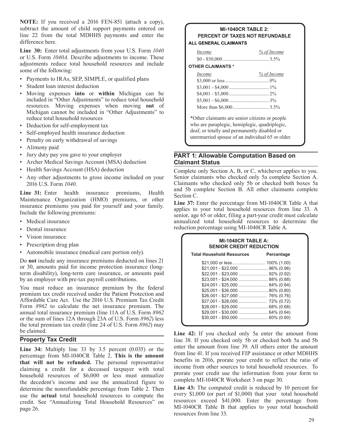**NOTE:** If you received a 2016 FEN-851 (attach a copy), subtract the amount of child support payments entered on **MI-1040CR TABLE 2:** line 22 from the total MDHHS payments and enter the **PERCENT OF TAXES NOT REFUNDABLE** difference here.

**Line 30:** Enter total adjustments from your U.S. Form  $1040$ or U.S. Form *1040A*. Describe adjustments to income. These adjustments reduce total household resources and include **OTHER CLAIMANTS** \* some of the following:

- Payments to IRAs, SEP, SIMPLE, or qualified plans
- Student loan interest deduction
- Moving expenses into or within Michigan can be included in "Other Adjustments" to reduce total household resources. Moving expenses when moving out of Michigan cannot be included in "Other Adjustments" to
- 
- Self-employed health insurance deduction
- Penalty on early withdrawal of savings
- Alimony paid
- 
- Archer Medical Savings Account (MSA) deduction
- 
- 

**Line 31:** Enter health insurance premiums, Health and 5b complete Section B. All other claimants complete<br>Maintenance Organization (HMO) premiums, or other<br>insurance premiums you paid for yourself and your family.<br>Include

- 
- 
- 
- Prescription drug plan
- Automobile insurance (medical care portion only).

You must uce \$24,001 - \$25,000 ........................ 84% (0.84) red an insurance premium by the federal \$25,001 - \$26,000 ........................ 80% (0.80) premium tax credit received under the Patient Protection and Affordable Care Act. Use the 2016 U.S. Premium Tax Credit Form *8962* to calculate the net insurance premium. The annual total insurance premium (line 11A of U.S. Form 8962 or the sum of lines 12A through 23A of U.S. Form 8962) less the total premium tax credit (line 24 of U.S. Form *8962*) may

percentage from MI-1040CR Table 2. **This is the amount benefits** in 2016, prorate your credit to reflect the ratio of **that will not be refunded.** The personal representative benefits in 2016, prorate your credit to reflect the ratio of income from other sources to total hous claiming a credit for a deceased taxpayer with total<br>household resources of \$6,000 or less must annualize prorate your credit use the information from your form to<br>the decedent's income and use the annualized figure to<br>com the decedent's income and use the annualized figure to complete MI-1040CR Worksheet 3 on page 30.<br>determine the poppefundable percentage from Table 2. Then Line 43: The computed credit is reduced by 10 percent for determine the nonrefundable percentage from Table 2. Then **Line 43:** The computed credit is reduced by 10 percent for<br>use the **actual** total household resources to compute the every \$1,000 (or part of \$1,000) that your tot use the **actual** total household resources to compute the every \$1,000 (or part of \$1,000) that your total household<br>credit. See "Annualizing Total Household Resources" on resources exceed \$41,000. Enter the percentage fro credit. See "Annualizing Total Household Resources" on page 26. MI-1040CR Table B that applies to your total household

# difference here. **ALL GENERAL CLAIMANTS**

| Income | % of Income |
|--------|-------------|
|        |             |

| Income             | % of Income |
|--------------------|-------------|
|                    |             |
|                    |             |
|                    |             |
|                    |             |
| More than $$6,000$ | $3.5\%$     |

\*Other claimants are senior citizens or people<br>who are paraplegic, hemiplegic, quadriplegic, • Deduction for self-employment tax who are paraplegic, hemiplegic, quadriplegic quadriplegic<br>
• Self-employed bealth insurance deduction unremarried spouse of an individual 65 or older.

# • Jury duty pay you gave to your employer<br>
• Archer Medical Savings Account (MSA) deduction<br> **Claimant Status**

• Health Savings Account (HSA) deduction Complete only Section A, B, or C, whichever applies to you. • Any other adjustments to gross income included on your Senior claimants who checked only 5a complete Section A. 2016 U.S. Form  $1040$ .<br>
2016 U.S. Form  $1040$ .<br>
2016 U.S. Form  $1040$ .<br>
2016 U.S. Form  $1040$ .<br>
2016 U.S. Form  $1040$ .

• Medical insurance **annualized** total household resources to determine the • Dental insurance reduction percentage using MI-1040CR Table A.

| <b>MI-1040CR TABLE A:</b><br><b>SENIOR CREDIT REDUCTION</b> |            |  |  |
|-------------------------------------------------------------|------------|--|--|
| <b>Total Household Resources</b>                            | Percentage |  |  |
|                                                             |            |  |  |
|                                                             |            |  |  |
|                                                             |            |  |  |

be claimed.<br> **Line 42:** If you checked only 5a enter the amount from<br> **Property Tax Credit Line 38.** If you checked only 5b or checked both 5a and 5b line 38. If you checked only 5b or checked both 5a and 5b **Line 34:** Multiply line 33 by 3.5 percent (0.035) or the enter the amount from line 39. All others enter the amount percentage from MI 1040CP. Table 2. This is the amount from line 41. If you received FIP assistance or ot

resources from line 33.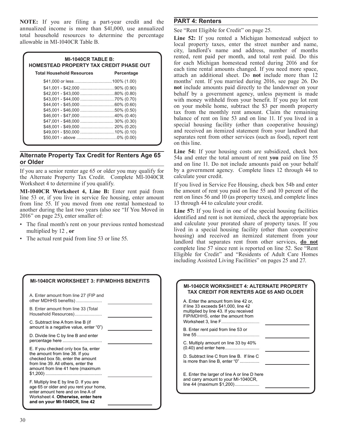**NOTE:** If you are filing a part-year credit and the **PART 4: Renters**  annualized income is more than \$41,000, use annualized See "Rent Eligible for Credit" on page 25.<br>total household resources to determine the percentage  $\mathbf{I}$  in  $\mathbf{52}$ . If you ranted a Michigan household

| <b>MI-1040CR TABLE B:</b><br><b>HOMESTEAD PROPERTY TAX CREDIT PHASE OUT</b> |            |  |  |  |
|-----------------------------------------------------------------------------|------------|--|--|--|
| <b>Total Household Resources</b>                                            | Percentage |  |  |  |
|                                                                             |            |  |  |  |
|                                                                             |            |  |  |  |
|                                                                             |            |  |  |  |
|                                                                             |            |  |  |  |
|                                                                             |            |  |  |  |
|                                                                             |            |  |  |  |
|                                                                             |            |  |  |  |
| \$47,001 - \$48,000  30% (0.30)                                             |            |  |  |  |
|                                                                             |            |  |  |  |
|                                                                             |            |  |  |  |
|                                                                             |            |  |  |  |

the Alternate Property Tax Credit. Complete MI-1040CR

**MI-1040CR Worksheet 4, Line B:** Enter rent paid from the amount of rent you paid on line 55 and 10 percent of the line 53 or, if you live in service fee housing, enter amount rent on lines 56 and 10 (as property taxes), a line 53 or, if you live in service fee housing, enter amount rent on lines 56 and 10 (as property taxes), from line 55. If you moved from one rental homestead to 13 through 44 to calculate your credit. from line 55. If you moved from one rental homestead to another during the last two years (also see "If You Moved in **Line 57:** If you lived in one of the special housing facilities 2016" on page 25), enter smaller of:  $\frac{1}{2}$  identified and rent is not itemized check the app

**MI-1040CR WORKSHEET 3: FIP/MDHHS BENEFITS** 

total household resources to determine the percentage **Line 52:** If you rented a Michigan homestead subject to local property taxes, enter the street number and name, city, landlord's name and address, number of months rented, rent paid per month, and total rent paid. Do this<br>for each Michigan homestead rented during 2016 and for<br>each time rental amounts changed. If you need more space,<br>attach an additional sheet. Do **not** include more t months' rent. If you married during 2016, see page 26. Do not include amounts paid directly to the landowner on your behalf by a government agency, unless payment is made with money withheld from your benefit. If you pay lot rent on your mobile home, subtract the \$3 per month property<br>tax from the monthly rent amount. Claim the remaining<br>balance of rent on line 53 and on line 11. If you lived in a special housing facility (other than cooperative housing) and received an itemized statement from your landlord that separates rent from other services (such as food), report rent on this line.

**Alternate Property Tax Credit for Renters Age 65** Line 54: If your housing costs are subsidized, check box 54a and enter the total amount of rent you paid on line 55 and on line 55 and on line 11. Do not include amounts p If you are a senior renter age 65 or older you may qualify for by a government agency. Complete lines 12 through 44 to the Alternate Property Tax Credit Complete MI-1040CR calculate your credit.

Worksheet 4 to determine if you qualify.<br>If you lived in Service Fee Housing, check box 54b and enter<br>MI-1040CR Worksheet 4, Line B: Enter rent paid from the amount of rent you paid on line 55 and 10 percent of the

identified and rent is not itemized, check the appropriate box • The final month's rent on your previous rented homestead and calculate your prorated share of property taxes. If you multiplied by 12, **or lived in a special housing facility (other than cooperative housing) and received an itemized statement from your** The actual rent paid from line 53 or line 55. landlord that separates rent from other services, **do not** landlord that separates rent from other services, **do not** complete line 57 since rent is reported on line 52. See "Rent Eligible for Credit" and "Residents of Adult Care Homes including Assisted Living Facilities" on pages 25 and 27.

| other MDHHS benefits)<br>A. Enter the amount from line 42 or.                                                                                                                                                                                                                                   |  |
|-------------------------------------------------------------------------------------------------------------------------------------------------------------------------------------------------------------------------------------------------------------------------------------------------|--|
| if line 33 exceeds \$41,000, line 42<br>B. Enter amount from line 33 (Total<br>multiplied by line 43. If you received<br>Household Resources)<br>FIP/MDHHS, enter the amount from                                                                                                               |  |
| C. Subtract line A from line B (if<br>amount is a negative value, enter "0")<br>B. Enter rent paid from line 53 or                                                                                                                                                                              |  |
| D. Divide line C by line B and enter<br>C. Multiply amount on line 33 by 40%                                                                                                                                                                                                                    |  |
| (0.40) and enter here<br>E. If you checked only box 5a, enter<br>the amount from line 38. If you<br>D. Subtract line C from line B. If line C<br>checked box 5b, enter the amount<br>is more than line B, enter "0"<br>from line 39. All others, enter the<br>amount from line 41 here (maximum |  |
| E. Enter the larger of line A or line D here<br>and carry amount to your MI-1040CR,<br>F. Multiply line E by line D. If you are<br>line 44 (maximum $$1,200)$<br>age 65 or older and you rent your home,<br>enter amount here and on line A of<br>Worksheet 4. Otherwise, enter here            |  |
| and on your MI-1040CR, line 42                                                                                                                                                                                                                                                                  |  |

| <b>MI-1040CR WORKSHEET 4: ALTERNATE PROPERTY</b><br><b>TAX CREDIT FOR RENTERS AGE 65 AND OLDER</b>                                                         |  |
|------------------------------------------------------------------------------------------------------------------------------------------------------------|--|
| A. Enter the amount from line 42 or.<br>if line 33 exceeds \$41,000, line 42<br>multiplied by line 43. If you received<br>FIP/MDHHS, enter the amount from |  |
| B. Enter rent paid from line 53 or                                                                                                                         |  |
| C. Multiply amount on line 33 by 40%                                                                                                                       |  |
| D. Subtract line C from line B. If line C<br>is more than line B, enter "0"                                                                                |  |
| E. Enter the larger of line A or line D here<br>and carry amount to your MI-1040CR,<br>line 44 (maximum \$1,200)                                           |  |
|                                                                                                                                                            |  |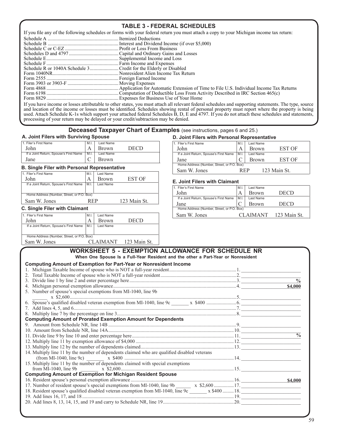### **TABLE 3 - FEDERAL SCHEDULES**

| If you file any of the following schedules or forms with your federal return you must attach a copy to your Michigan income tax return: |  |  |  |  |  |
|-----------------------------------------------------------------------------------------------------------------------------------------|--|--|--|--|--|
|                                                                                                                                         |  |  |  |  |  |
|                                                                                                                                         |  |  |  |  |  |
|                                                                                                                                         |  |  |  |  |  |
|                                                                                                                                         |  |  |  |  |  |
|                                                                                                                                         |  |  |  |  |  |
|                                                                                                                                         |  |  |  |  |  |
|                                                                                                                                         |  |  |  |  |  |
|                                                                                                                                         |  |  |  |  |  |
|                                                                                                                                         |  |  |  |  |  |
|                                                                                                                                         |  |  |  |  |  |
|                                                                                                                                         |  |  |  |  |  |
|                                                                                                                                         |  |  |  |  |  |
|                                                                                                                                         |  |  |  |  |  |

If you have income or losses attributable to other states, you must attach all relevant federal schedules and supporting statements. The type, source<br>and location of the income or losses must be identified. Schedules showi used. Attach Schedule K-1s which support your attached federal Schedules B, D, E and 4797. If you do not attach these schedules and statements, processing of your return may be delayed or your credit/subtraction may be denied.

## **Deceased Taxpayer Chart of Examples** (see instructions, pages 6 and 25.)<br>D. Joint Filers with Personal Represe

|                                        | -              |           |             |                                        |     | ----------------- |      |
|----------------------------------------|----------------|-----------|-------------|----------------------------------------|-----|-------------------|------|
| Filer's First Name                     | ' M.i.         | Last Name |             | Filer's First Name                     | M.I | Last Name         |      |
| John                                   | $\overline{I}$ | Brown     | <b>DECD</b> | John                                   |     | Brown             | . OF |
| If a Joint Return, Spouse's First Name | M.1            | Last Name |             | If a Joint Return, Spouse's First Name | M.I | Last Name         |      |
| Jane                                   |                | Brown     |             | Jane                                   |     | Brown             | T OF |

### **B. Single Filer with Personal Representative**

|                                            |            |              |              | Sallet W. JOHES                            | <b>KEF</b> |                 | 1 <i>23</i> Maiil St. |
|--------------------------------------------|------------|--------------|--------------|--------------------------------------------|------------|-----------------|-----------------------|
| 1. Filer's First Name                      | M.         | Last Name    |              |                                            |            |                 |                       |
| John                                       | A          | <b>Brown</b> | EST OF       | <b>E. Joint Filers with Claimant</b>       |            |                 |                       |
| If a Joint Return, Spouse's First Name     | M.I        | Last Name    |              | 1. Filer's First Name                      | M.I        | Last Name       |                       |
| Home Address (Number, Street, or P.O. Box) |            |              |              | John                                       | А          | <b>Brown</b>    | <b>DECD</b>           |
|                                            | <b>REP</b> |              | 123 Main St. | If a Joint Return, Spouse's First Name     | M.I.       | Last Name       |                       |
| Sam W. Jones                               |            |              |              | Jane                                       |            | <b>Brown</b>    | <b>DECD</b>           |
| <b>C. Single Filer with Claimant</b>       |            |              |              | Home Address (Number, Street, or P.O. Box) |            |                 |                       |
| 1. Filer's First Name                      | M.I.       | Last Name    |              | Sam W. Jones                               |            | <b>CLAIMANT</b> | 123 Mai               |

|                                            | <b>Brown</b> | DECD                                                        |
|--------------------------------------------|--------------|-------------------------------------------------------------|
|                                            | Last Name    |                                                             |
| Home Address (Number, Street, or P.O. Box) |              |                                                             |
|                                            |              | 123 Main St.                                                |
|                                            |              | If a Joint Return, Spouse's First Name   M.I.  <br>CLAIMANT |

### **D. Joint Filers with Personal Representative**

| 1. Filer's First Name                               | M.I  | Last Name                                  | 1. Filer's First Name                  | M.         | Last Name    |        |  |
|-----------------------------------------------------|------|--------------------------------------------|----------------------------------------|------------|--------------|--------|--|
| John                                                |      | DECD<br>Brown.                             | John                                   |            | Brown        | EST OF |  |
| If a Joint Return, Spouse's First Name              | M.I. | Last Name                                  | If a Joint Return, Spouse's First Name |            | Last Name    |        |  |
| Jane                                                |      | Brown.                                     | Jane                                   |            | Brown        | EST OF |  |
| <b>B. Single Filer with Personal Representative</b> |      | Home Address (Number, Street, or P.O. Box) |                                        |            |              |        |  |
|                                                     |      |                                            | Sam W. Jones                           | <b>REP</b> | 123 Main St. |        |  |
| 1. Filer's First Name                               | M.I. | Last Name                                  |                                        |            |              |        |  |

### **E. Joint Filers with Claimant**

| II a JUIN RELUIN, SPOUSE'S FIISL NAME      | 1 IVI. I.  | Last Natile |              |                                            |                |              |              |
|--------------------------------------------|------------|-------------|--------------|--------------------------------------------|----------------|--------------|--------------|
|                                            |            |             |              | 1. Filer's First Name                      | $^{\prime}$ M. | Last Name    |              |
| Home Address (Number, Street, or P.O. Box) |            |             |              | John                                       |                | <b>Brown</b> | <b>DECD</b>  |
| Sam W. Jones                               | <b>REP</b> |             | 123 Main St. | If a Joint Return, Spouse's First Name     | M <sub>1</sub> | Last Name    |              |
|                                            |            |             |              | Jane                                       |                | <b>Brown</b> | <b>DECD</b>  |
| C. Single Filer with Claimant              |            |             |              | Home Address (Number, Street, or P.O. Box) |                |              |              |
| 1. Filer's First Name                      |            | Last Name   |              | Sam W. Jones                               |                | CLAIMANT     | 123 Main St. |
| T <sub>1</sub>                             |            | $\sqrt{ }$  | <b>DOOD</b>  |                                            |                |              |              |

| <b>WORKSHEET 5 - EXEMPTION ALLOWANCE FOR SCHEDULE NR</b>                                       |                          |
|------------------------------------------------------------------------------------------------|--------------------------|
| When One Spouse Is a Full-Year Resident and the other a Part-Year or Nonresident               |                          |
| <b>Computing Amount of Exemption for Part-Year or Nonresident Income</b>                       |                          |
|                                                                                                |                          |
| $2_{1}$                                                                                        |                          |
| 3.                                                                                             | $\frac{0}{0}$            |
| $4_{\cdot}$                                                                                    | \$4,000                  |
| 5. Number of spouse's special exemptions from MI-1040, line 9b                                 |                          |
|                                                                                                |                          |
|                                                                                                |                          |
|                                                                                                |                          |
|                                                                                                |                          |
| <b>Computing Amount of Prorated Exemption Amount for Dependents</b>                            |                          |
|                                                                                                |                          |
|                                                                                                |                          |
|                                                                                                | $\overline{\frac{0}{0}}$ |
|                                                                                                |                          |
|                                                                                                |                          |
| 14. Multiply line 11 by the number of dependents claimed who are qualified disabled veterans   |                          |
|                                                                                                |                          |
| 15. Multiply line 11 by the number of dependents claimed with special exemptions               |                          |
|                                                                                                |                          |
| <b>Computing Amount of Exemption for Michigan Resident Spouse</b>                              |                          |
|                                                                                                | \$4,000                  |
| 17. Number of resident spouse's special exemptions from MI-1040, line 9b _______ x \$2,600 17. |                          |
|                                                                                                |                          |
|                                                                                                |                          |
|                                                                                                |                          |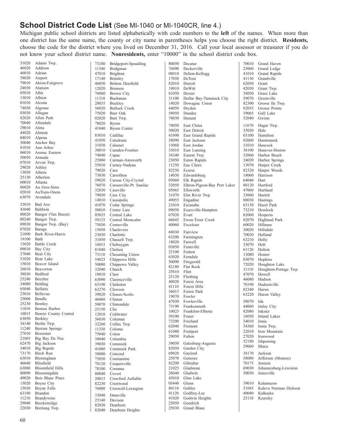### **School District Code List** (See MI-1040 or MI-1040CR, line 4.)

Michigan public school districts are listed alphabetically with code numbers to the **left** of the names. When more than one district has the same name, the county or city name in parentheses helps you choose the right district. **Residents,**  choose the code for the district where you lived on December 31, 2016. Call your local assessor or treasurer if you do not know your school district name. **Nonresidents,** enter "10000" in the school district code box.

| 31020 | Adams Twp.              | 73180          | Bridgeport-Spaulding     | 80050 | Decatur                      | 70010 | Grand Haven           |
|-------|-------------------------|----------------|--------------------------|-------|------------------------------|-------|-----------------------|
| 46020 | Addison                 | 11340          | Bridgman                 | 76090 | Deckerville                  | 23060 | Grand Ledge           |
| 46010 | Adrian                  | 47010          | Brighton                 | 08010 | Delton-Kellogg               | 41010 | Grand Rapids          |
| 58020 | Airport                 | 17140          | <b>Brimley</b>           | 17050 | DeTour                       | 41130 | Grandville            |
| 79010 | Akron-Fairgrove         | 46050          | <b>Britton Deerfield</b> | 82010 | Detroit                      | 62050 | Grant                 |
| 24030 | Alanson                 | 12020          | <b>Bronson</b>           | 19010 | DeWitt                       | 42030 | Grant Twp.            |
| 05010 | Alba                    | 76060          | Brown City               | 81050 | Dexter                       | 38050 | Grass Lake            |
| 13010 | Albion                  | 11310          | Buchanan                 | 31100 | Dollar Bay-Tamarack City     | 59070 | Greenville            |
| 01010 | Alcona                  | 28035          | Buckley                  | 14020 | Dowagiac Union               | 82300 | Grosse Ile Twp.       |
| 74030 | Algonac                 | 56020          | <b>Bullock Creek</b>     | 44050 | Dryden                       | 82055 | Grosse Pointe         |
| 03030 | Allegan                 | 75020          | Burr Oak                 | 58050 | Dundee                       | 39065 | Gull Lake             |
| 82020 | Allen Park              | 02020          | Burt Twp.                | 78030 | Durand                       | 52040 | Gwinn                 |
| 70040 | Allendale               | 78020          | <b>Byron</b>             |       |                              |       |                       |
| 29010 | Alma                    | 41040          | <b>Byron</b> Center      | 74050 | East China                   | 11670 | Hagar Twp.            |
| 44020 | Almont                  |                |                          | 50020 | East Detroit                 | 35020 | Hale                  |
| 04010 | Alpena                  | 83010          | Cadillac                 | 41090 | East Grand Rapids            | 03100 | Hamilton              |
| 50040 | Anchor Bay              | 41050          | Caledonia                | 38090 | East Jackson                 | 82060 | Hamtramck             |
| 81010 | Ann Arbor               | 31030          | Calumet                  | 15060 | East Jordan                  | 31010 | Hancock               |
| 06010 | Arenac Eastern          | 30010          | Camden-Frontier          | 33010 | East Lansing                 | 38100 | Hanover-Horton        |
| 50050 | Armada                  | 74040          | Capac                    | 34340 | Easton Twp.                  | 32060 | Harbor Beach          |
| 07010 | Arvon Twp.              | 25080          | Carman-Ainsworth         | 23050 | Eaton Rapids                 | 24020 | Harbor Springs        |
| 29020 | Ashley                  | 55010          | Carney-Nadeau            | 11250 | Eau Claire                   | 13070 | Harper Creek          |
| 13050 | Athens                  | 79020          | Caro                     | 82250 | Ecorse                       | 82320 | Harper Woods          |
| 25130 | Atherton                | 73030          | Carrollton               | 14030 | Edwardsburg                  | 18060 | Harrison              |
|       |                         | 59020          | Carson City-Crystal      | 05060 | Elk Rapids                   | 64040 | Hart                  |
| 60010 | Atlanta                 | 76070          | Carsonville-Pt. Sanilac  | 32050 | Elkton-Pigeon-Bay Port Laker | 80120 | Hartford              |
| 06020 | Au Gres-Sims            | 32030          | Caseville                | 05065 | Ellsworth                    | 47060 | Hartland              |
| 02010 | AuTrain-Onota           | 79030          | Cass City                | 31070 | Elm River Twp.               | 33060 | Haslett               |
| 63070 | Avondale                | 14010          | Cassopolis               | 49055 | Engadine                     | 08030 | <b>Hastings</b>       |
| 32010 | Bad Axe                 | 41070          | Cedar Springs            | 21010 | Escanaba                     | 63130 | Hazel Park            |
| 43040 | Baldwin                 | 50010          | Center Line              | 09050 | Essexville-Hampton           | 73210 | Hemlock               |
| 80020 | Bangor (Van Buren)      | 05035          | Central Lake             | 67020 | Evart                        | 62060 | Hesperia              |
| 80240 | Bangor Twp.             | 59125          | Central Montcalm         | 66045 | Ewen-Trout Creek             | 82070 | Highland Park         |
| 09030 | Bangor Twp. (Bay)       | 75030          | Centreville              | 40060 | Excelsior                    | 60020 | Hillman               |
| 07020 | Baraga                  | 15050          | Charlevoix               |       |                              | 30020 | Hillsdale             |
| 21090 | Bark River-Harris       | 23030          | Charlotte                | 68030 | Fairview                     | 70020 | Holland               |
| 19100 | Bath                    | 31050          | Chassell Twp.            | 63200 | Farmington                   | 63210 | Holly                 |
| 13020 | <b>Battle Creek</b>     | 16015          | Cheboygan                | 18020 | Farwell                      | 33070 | Holt                  |
| 09010 | Bay City                | 81040          | Chelsea                  | 03050 | Fennville                    | 61120 | Holton                |
| 37040 | Beal City               | 73110          | Chesaning Union          | 25100 | Fenton                       | 13080 | Homer                 |
| 51020 | Bear Lake               | 54025          | Chippewa Hills           | 63020 | Ferndale                     | 03070 | Hopkins               |
| 15010 | Beaver Island           | 50080          | Chippewa Valley          | 50090 | Fitzgerald                   | 72020 | Houghton Lake         |
| 26010 | Beaverton               | 32040          | Church                   | 82180 | Flat Rock                    | 31110 | Houghton-Portage Twp. |
| 58030 | Bedford                 | 18010          | Clare                    | 25010 | Flint                        | 47070 | Howell                |
| 25240 | Beecher                 | 63090          | Clarenceville            | 25120 | Flushing                     | 46080 | Hudson                |
| 34080 | Belding                 | 63190          | Clarkston                | 40020 | Forest Area                  | 70190 | Hudsonville           |
| 05040 | Bellaire                | 63270          | Clawson                  | 41110 | Forest Hills                 | 82340 | Huron                 |
| 23010 | Bellevue                | 39020          | Climax-Scotts            | 36015 | Forest Park                  | 63220 |                       |
| 25060 | Bendle                  |                | Clinton                  | 19070 | Fowler                       |       | Huron Valley          |
| 25230 | Bentley                 | 46060<br>50070 | Clintondale              | 47030 | Fowlerville                  | 58070 | Ida                   |
| 11010 | Benton Harbor           |                |                          | 73190 | Frankenmuth                  | 44060 | Imlay City            |
| 10015 | Benzie County Central   | 25150<br>12010 | Clio                     | 10025 | Frankfort-Elberta            | 82080 | Inkster               |
| 63050 | Berkley                 |                | Coldwater                | 50100 | Fraser                       | 16050 | <b>Inland Lakes</b>   |
| 34140 | Berlin Twp.             | 56030<br>32260 | Coleman                  | 73200 | Freeland                     | 34010 | Ionia                 |
| 11240 | <b>Berrien Springs</b>  |                | Colfax Twp.              | 62040 | Fremont                      | 34360 | Ionia Twp.            |
| 27010 | Bessemer                | 11330          | Coloma                   | 61080 | Fruitport                    | 22010 | Iron Mountain         |
| 21065 | Big Bay De Noc          | 75040          | Colon                    | 29050 | Fulton                       | 27020 | Ironwood              |
| 62470 |                         | 38040          | Columbia                 | 39050 |                              | 52180 | Ishpeming             |
|       | Big Jackson             | 39030          | Comstock                 |       | Galesburg-Augusta            | 29060 | Ithaca                |
| 54010 | Big Rapids              | 41080          | Comstock Park            | 82050 | Garden City                  |       | Jackson               |
| 73170 | Birch Run               | 38080          | Concord                  | 69020 | Gaylord                      | 38170 |                       |
| 63010 | Birmingham              | 75050          | Constantine              | 25070 | Genesee                      | 58080 | Jefferson (Monroe)    |
| 46040 | Blissfield              | 70120          | Coopersville             | 82290 | Gibraltar                    | 70175 | Jenison               |
| 63080 | <b>Bloomfield Hills</b> | 78100          | Corunna                  | 21025 | Gladstone                    | 69030 | Johannesburg-Lewiston |
| 80090 | Bloomingdale            | 80040          | Covert                   | 26040 | Gladwin                      | 30030 | Jonesville            |
| 49020 | Bois Blanc Pines        | 20015          | Crawford AuSable         | 45010 | Glen Lake                    |       |                       |
| 15020 | Boyne City              | 82230          | Crestwood                | 03440 | Glenn                        | 39010 | Kalamazoo             |
| 15030 | Boyne Falls             | 76080          | Croswell-Lexington       | 80110 | Gobles                       | 51045 | Kaleva Norman Dickson |
| 63180 | <b>Brandon</b>          | 33040          | Dansville                | 41120 | Godfrey-Lee                  | 40040 | Kalkaska              |
| 11210 | Brandywine              | 25140          | Davison                  | 41020 | Godwin Heights               | 25110 | Kearsley              |
| 29040 | Breckenridge            | 82030          | Dearborn                 | 25050 | Goodrich                     |       |                       |
| 22030 | Breitung Twp.           | 82040          | Dearborn Heights         | 25030 | Grand Blanc                  |       |                       |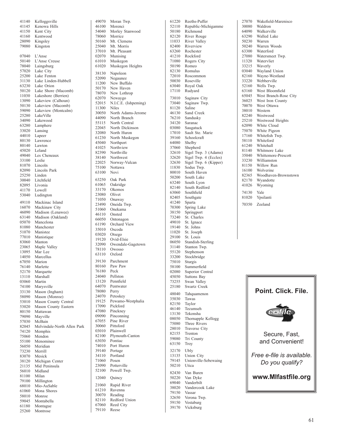41150 Kent City **1150** Sammond 50180 Richmond 64090 Walkerville 51160 Kentwood 50180 Richmond 64090 Walkerville 41160 Kentwood 78060 Morrice 82120 River Rouge 63290 Walled Lake 28090 Kingsley 100 | 50160 Mt. Clemens 11033 River Valley 50230 Warren 79080 Kingston 25040 Mt. Morris 82400 Riverview 50240 Warren Woods 07040 L'Anse 02070 Munising 41210 Rockford 27080 Watersmeet Twp. 50140 L'Anse Creuse 1988 (61010 Muskegon 11080 Rogers City 11320 Watervliet 78040 Laingsburg 133215 Waverly 61020 Muskegon Heights 150190 Romeo 33215 Waverly 57020 lake City<br>
27300 lake Erene Highel 1840 Mappleton 1930 Mappines<br>
27300 lake Erene Highel Union New Burdent 1930 Mappines<br>
27300 lake bene (Macomb) 1930 November 1930 Mappines<br>
28120 Lake Shore (Macomb) 1930 November 67050 Marion 39130 Parchment 75010 Sturgis 76140 Marlette 80160 Paw Paw 168100 Summerfield<br>
76180 Peck 802080 Superior Cer 52170 Marquette 13110 Arishall 13110 76180 Peck 13110 2080 Superior Central 13110 Marshall 24040 Pellston 13110 Marshall 13110 45050 Suttons Bay 03060 Martin 13120 Pennfield 73255 Swan Valley 74100 Marysville 64070 Pentwater 25180 Swartz Creek<br>33130 Mason (Ingham) 78080 Perry 19040 Theorems 56050 Meridian 73230 Merrill 74010 Port Huron 73230 Merrill 73230 Merrill 39140 Portage 32170 Ubly 56010 Midland 152100 Powell Twp.<br>82430 Van Buren 68010 Mio-AuSable 21060 Rapid River 38020 Vandercook Lake<br>61060 Mona Shores 61210 Ravenna 2007 Vandercook Lake 61060 Mona Shores 61210 Ravenna 79150 Vassar 58010 Monroe 30070 Reading 32650 Verona Twp.<br>
59045 Montabella 82110 Redford Union 32650 Verona Twp.<br>
61180 Montague 67060 Reed City 39170 Vicksburg 25260 Montrose 79110 Reese

41140 Kelloggsville | 49070 Moran Twp.<br>41145 Kenowa Hills | 46100 Morenci | 52110 Republic-Michigamme | 30080 Waldron Kenowa Hills **16100** Morenci 52110 Republic-Michigamme 30080 Waldron<br>
164090 Walkerville 54040 Morley Stanwood 50180 Richmond 64090 Walkerville 37010 Mt. Pleasant 63260 Rochester 63300 Waterford<br>02070 Munising 1210 Rockford 27080 Watersmeet Twp. Michigan Center 71060 Posen 79145 Unionville-Sebewaing<br>
23090 Potterville 50210 Utica

69040 Vanderbilt<br>38020 Vandercoo

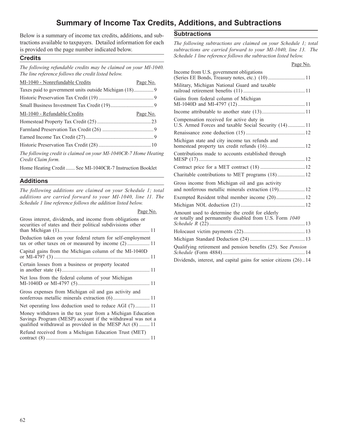### **Summary of Income Tax Credits, Additions, and Subtractions**

Below is a summary of income tax credits, additions, and sub- **Subtractions**  tractions available to taxpayers. Detailed information for each *The following subtractions are claimed on your Schedule 1; total* is provided on the page number indicated below.<br> *Subtractions are carried forward to your* 

| MI-1040 - Nonrefundable Credits | Page No. | Military, Michigan National Guard and taxable                                                     |
|---------------------------------|----------|---------------------------------------------------------------------------------------------------|
|                                 |          |                                                                                                   |
|                                 |          | Gains from federal column of Michigan                                                             |
|                                 |          |                                                                                                   |
| MI-1040 - Refundable Credits    | Page No. |                                                                                                   |
|                                 |          | Compensation received for active duty in<br>U.S. Armed Forces and taxable Social Security (14) 11 |
|                                 |          |                                                                                                   |
|                                 |          |                                                                                                   |
|                                 |          | Michigan state and city income tax refunds and                                                    |

| Gross interest, dividends, and income from obligations or<br>securities of states and their political subdivisions other                                                            | or totally and permanently disabled from U.S. Form 1040             |  |  |
|-------------------------------------------------------------------------------------------------------------------------------------------------------------------------------------|---------------------------------------------------------------------|--|--|
|                                                                                                                                                                                     |                                                                     |  |  |
| Deduction taken on your federal return for self-employment<br>tax or other taxes on or measured by income (2) 11                                                                    |                                                                     |  |  |
| Capital gains from the Michigan column of the MI-1040D                                                                                                                              | Qualifying retirement and pension benefits (25). See <i>Pension</i> |  |  |
| Certain losses from a business or property located                                                                                                                                  | Dividends, interest, and capital gains for senior citizens (26)14   |  |  |
| Net loss from the federal column of your Michigan                                                                                                                                   |                                                                     |  |  |
| Gross expenses from Michigan oil and gas activity and                                                                                                                               |                                                                     |  |  |
| Net operating loss deduction used to reduce AGI (7) 11                                                                                                                              |                                                                     |  |  |
| Money withdrawn in the tax year from a Michigan Education<br>Savings Program (MESP) account if the withdrawal was not a<br>qualified withdrawal as provided in the MESP Act (8)  11 |                                                                     |  |  |
| Refund received from a Michigan Education Trust (MET)                                                                                                                               |                                                                     |  |  |

subtractions are carried forward to your MI-1040, line 13. The **Credits** *Schedule 1 line reference follows the subtraction listed below.* **Credits** 

| The following refundable credits may be claimed on your MI-1040.<br>The line reference follows the credit listed below.  | Page No.<br>Income from U.S. government obligations                                               |
|--------------------------------------------------------------------------------------------------------------------------|---------------------------------------------------------------------------------------------------|
| MI-1040 - Nonrefundable Credits<br>Page No.                                                                              |                                                                                                   |
| Taxes paid to government units outside Michigan (18) 9                                                                   | Military, Michigan National Guard and taxable                                                     |
|                                                                                                                          | Gains from federal column of Michigan                                                             |
|                                                                                                                          |                                                                                                   |
| MI-1040 - Refundable Credits<br>Page No.                                                                                 |                                                                                                   |
|                                                                                                                          | Compensation received for active duty in<br>U.S. Armed Forces and taxable Social Security (14) 11 |
|                                                                                                                          |                                                                                                   |
|                                                                                                                          | Michigan state and city income tax refunds and                                                    |
|                                                                                                                          |                                                                                                   |
| The following credit is claimed on your MI-1040CR-7 Home Heating<br>Credit Claim form.                                   | Contributions made to accounts established through                                                |
| Home Heating Credit  See MI-1040CR-7 Instruction Booklet                                                                 |                                                                                                   |
|                                                                                                                          | Charitable contributions to MET programs (18) 12                                                  |
| <b>Additions</b>                                                                                                         | Gross income from Michigan oil and gas activity                                                   |
| The following additions are claimed on your Schedule 1; total                                                            | and nonferrous metallic minerals extraction (19) 12                                               |
| additions are carried forward to your MI-1040, line 11. The                                                              | Exempted Resident tribal member income (20) 12                                                    |
| Schedule 1 line reference follows the addition listed below.                                                             |                                                                                                   |
| Page No.                                                                                                                 | Amount used to determine the credit for elderly                                                   |
| Gross interest, dividends, and income from obligations or<br>securities of states and their political subdivisions other | or totally and permanently disabled from U.S. Form 1040                                           |
|                                                                                                                          |                                                                                                   |
| Deduction taken on your federal return for self-employment                                                               |                                                                                                   |
| tax or other taxes on or measured by income (2) 11                                                                       | Qualifying retirement and pension benefits (25). See Pension                                      |
| Capital gains from the Michigan column of the MI-1040D                                                                   |                                                                                                   |
| $\alpha$ , the $\alpha$ difference of $\alpha$ different $\alpha$                                                        | Dividends, interest, and capital gains for senior citizens (26)14                                 |
|                                                                                                                          |                                                                                                   |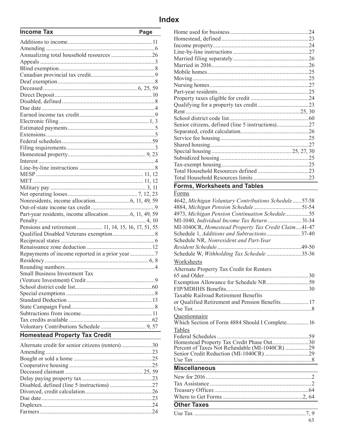| <b>Income Tax</b>                                  | Page |                                                        |  |
|----------------------------------------------------|------|--------------------------------------------------------|--|
|                                                    |      |                                                        |  |
|                                                    |      |                                                        |  |
|                                                    |      |                                                        |  |
|                                                    |      |                                                        |  |
|                                                    |      |                                                        |  |
|                                                    |      |                                                        |  |
|                                                    |      |                                                        |  |
|                                                    |      |                                                        |  |
|                                                    |      |                                                        |  |
|                                                    |      |                                                        |  |
|                                                    |      |                                                        |  |
|                                                    |      |                                                        |  |
|                                                    |      |                                                        |  |
|                                                    |      | Senior citizens, defined (line 5 instructions)27       |  |
|                                                    |      |                                                        |  |
|                                                    |      |                                                        |  |
|                                                    |      |                                                        |  |
|                                                    |      |                                                        |  |
|                                                    |      |                                                        |  |
|                                                    |      |                                                        |  |
|                                                    |      |                                                        |  |
|                                                    |      |                                                        |  |
|                                                    |      | <b>Forms, Worksheets and Tables</b>                    |  |
|                                                    |      | Forms                                                  |  |
|                                                    |      |                                                        |  |
|                                                    |      | 4642, Michigan Voluntary Contributions Schedule  57-58 |  |
|                                                    |      |                                                        |  |
|                                                    |      | 4973, Michigan Pension Continuation Schedule55         |  |
|                                                    |      | MI-1040, Individual Income Tax Return  31-34           |  |
| Pensions and retirement 11, 14, 15, 16, 17, 51, 55 |      | MI-1040CR, Homestead Property Tax Credit Claim41-47    |  |
|                                                    |      | Schedule 1, Additions and Subtractions 37-40           |  |
|                                                    |      | Schedule NR, Nonresident and Part-Year                 |  |
|                                                    |      |                                                        |  |
|                                                    |      | Schedule W, Withholding Tax Schedule 35-36             |  |
|                                                    |      | Worksheets                                             |  |
|                                                    |      | Alternate Property Tax Credit for Renters              |  |
| <b>Small Business Investment Tax</b>               |      |                                                        |  |
|                                                    |      |                                                        |  |
|                                                    |      |                                                        |  |
|                                                    |      | <b>Taxable Railroad Retirement Benefits</b>            |  |
|                                                    |      | or Qualified Retirement and Pension Benefits 17        |  |
|                                                    |      |                                                        |  |
|                                                    |      | Questionnaire                                          |  |
|                                                    |      | Which Section of Form 4884 Should I Complete 16        |  |
|                                                    |      | <b>Tables</b>                                          |  |
| <b>Homestead Property Tax Credit</b>               |      |                                                        |  |

| Alternate credit for senior citizens (renters)30 | <b>HOMESICAL PROPER</b><br>Percent of Taxes N |
|--------------------------------------------------|-----------------------------------------------|
|                                                  | Senior Credit Redu                            |
|                                                  | Use Tax                                       |
|                                                  | <b>Miscellaneous</b>                          |
|                                                  |                                               |
|                                                  | New for 2016                                  |
|                                                  | Tax Assistance                                |
|                                                  | Treasury Offices                              |
|                                                  | Where to Get Forn                             |
|                                                  | <b>Other Taxes</b>                            |
|                                                  | Use Tax                                       |

| income iax | <b>Page</b>   |  |
|------------|---------------|--|
|            |               |  |
|            |               |  |
|            |               |  |
|            |               |  |
|            |               |  |
|            |               |  |
|            |               |  |
|            |               |  |
|            |               |  |
|            |               |  |
|            |               |  |
|            |               |  |
|            |               |  |
|            |               |  |
|            |               |  |
|            |               |  |
|            |               |  |
|            |               |  |
|            |               |  |
|            |               |  |
|            |               |  |
|            |               |  |
| MET        | $11 \quad 12$ |  |

### **Forms, Worksheets and Tables**

### Forms

|                                                    | 4642, Michigan Voluntary Contributions Schedule57-58             |
|----------------------------------------------------|------------------------------------------------------------------|
|                                                    |                                                                  |
|                                                    | 4973, Michigan Pension Continuation Schedule55                   |
|                                                    | MI-1040, Individual Income Tax Return  31-34                     |
| Pensions and retirement 11, 14, 15, 16, 17, 51, 55 | MI-1040CR, Homestead Property Tax Credit Claim41-47              |
|                                                    |                                                                  |
|                                                    | Schedule NR, Nonresident and Part-Year                           |
|                                                    |                                                                  |
|                                                    | Schedule W, Withholding Tax Schedule 35-36                       |
|                                                    | Worksheets                                                       |
|                                                    | Alternate Property Tax Credit for Renters                        |
| <b>Small Business Investment Tax</b>               |                                                                  |
|                                                    |                                                                  |
|                                                    |                                                                  |
|                                                    | Taxable Railroad Retirement Benefits                             |
|                                                    | or Qualified Retirement and Pension Benefits 17                  |
|                                                    |                                                                  |
|                                                    |                                                                  |
|                                                    | Ouestionnaire<br>Which Section of Form 4884 Should I Complete 16 |
|                                                    | <b>Tables</b>                                                    |
| <b>Homestead Property Tax Credit</b>               |                                                                  |
|                                                    | Homestead Property Tax Credit Phase Out30                        |
| Alternate credit for senior citizens (renters)30   | Percent of Taxes Not Refundable (MI-1040CR) 29                   |
|                                                    |                                                                  |
|                                                    |                                                                  |
|                                                    | <b>Miscellaneous</b>                                             |
|                                                    |                                                                  |
|                                                    |                                                                  |
|                                                    |                                                                  |
|                                                    |                                                                  |

### **Other Taxes**  Use Tax .............................................................................7, 9 63

Where to Get Forms .......................................................2, 64